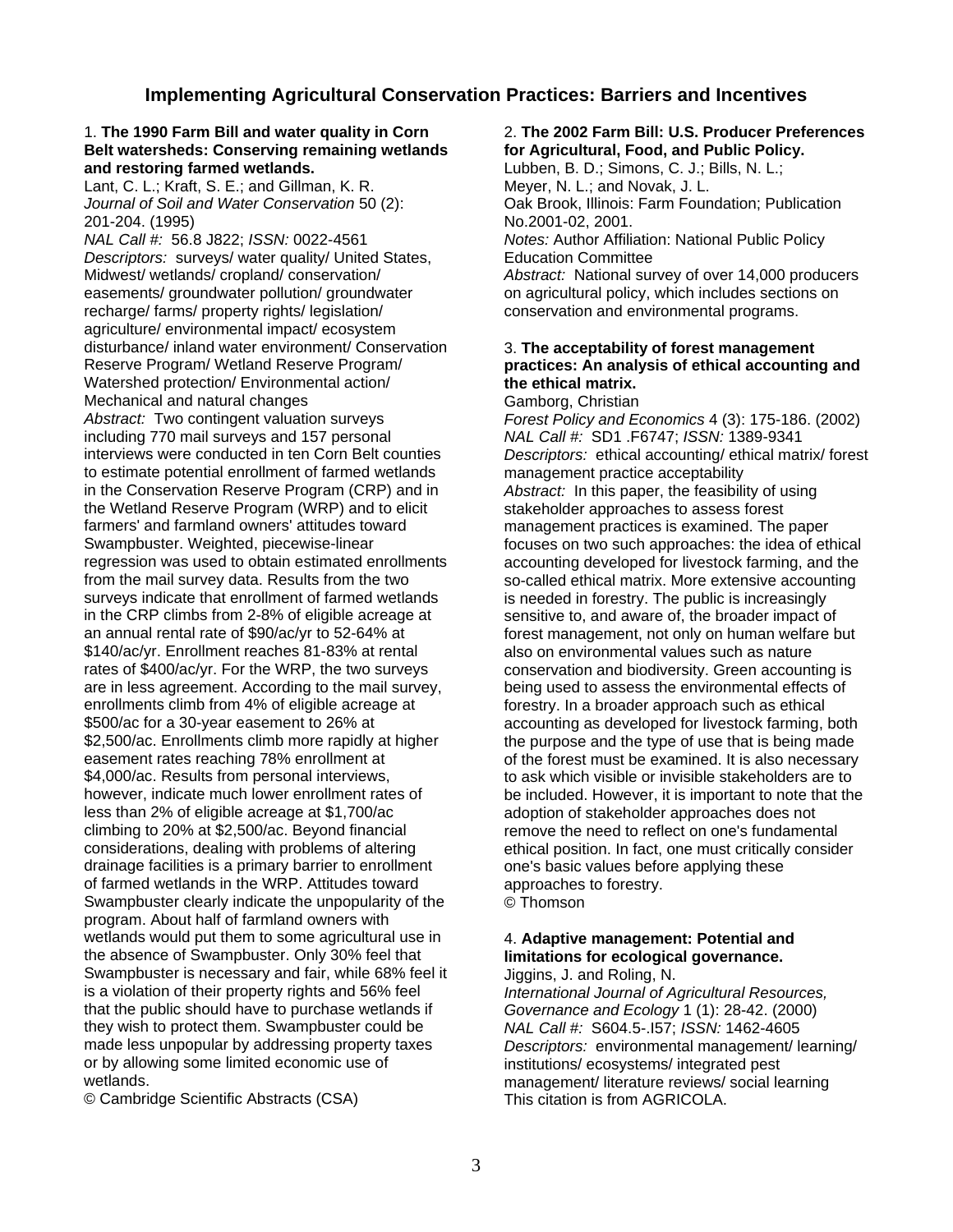## **Implementing Agricultural Conservation Practices: Barriers and Incentives**

## **Belt watersheds: Conserving remaining wetlands for Agricultural, Food, and Public Policy. and restoring farmed wetlands.** Lubben, B. D.; Simons, C. J.; Bills, N. L.;

Lant, C. L.; Kraft, S. E.; and Gillman, K. R. Meyer, N. L.; and Novak, J. L.

201-204. (1995) No.2001-02, 2001. **Descriptors: surveys/ water quality/ United States, Figure 2016** Education Committee Midwest/ wetlands/ cropland/ conservation/ *Abstract:* National survey of over 14,000 producers<br>
easements/ groundwater pollution/ groundwater on agricultural policy, which includes sections on recharge/ farms/ property rights/ legislation/ agriculture/ environmental impact/ ecosystem disturbance/ inland water environment/ Conservation 3. **The acceptability of forest management**  Watershed protection/ Environmental action/ **the ethical matrix.** Mechanical and natural changes<br>
Abstract: Two contingent valuation surveys<br>
Forest Policy and Equation *Abstract:* Two contingent valuation surveys *Forest Policy and Economics* 4 (3): 175-186. (2002) including 770 mail surveys and 157 personal *NAL Call #:* SD1 .F6747; *ISSN:* 1389-9341 to estimate potential enrollment of farmed wetlands management practice acceptability in the Conservation Reserve Program (CRP) and in *Abstract:* In this paper, the feasibility of using the Wetland Reserve Program (WRP) and to elicit stakeholder approaches to assess forest<br>farmers' and farmland owners' attitudes toward management practices is examined. The Swampbuster. Weighted, piecewise-linear focuses on two such approaches: the idea of ethical regression was used to obtain estimated enrollments accounting developed for livestock farming, and the from the mail survey data. Results from the two so-called ethical matrix. More extensive accounting surveys indicate that enrollment of farmed wetlands is needed in forestry. The public is increasingly in the CRP climbs from 2-8% of eligible acreage at sensitive to, and aware of, the broader impact of an annual rental rate of \$90/ac/yr to 52-64% at forest management, not only on human welfare b \$140/ac/yr. Enrollment reaches 81-83% at rental also on environmental values such as nature<br>
rates of \$400/ac/yr. For the WRP, the two surveys conservation and biodiversity. Green account rates of \$400/ac/yr. For the WRP, the two surveys conservation and biodiversity. Green accounting is<br>are in less agreement. According to the mail survey, being used to assess the environmental effects of are in less agreement. According to the mail survey, being used to assess the environmental effects of enrollments climb from 4% of eligible acreage at forestry. In a broader approach such as ethical \$500/ac for a 30-year easement to 26% at accounting as developed for livestock farming, both<br>\$2.500/ac. Enrollments climb more rapidly at higher burpose and the type of use that is being made easement rates reaching 78% enrollment at only of the forest must be examined. It is also necessary \$4,000/ac. Results from personal interviews, end to ask which visible or invisible stakeholders are to<br>however, indicate much lower enrollment rates of entimely be included. However, it is important to note that th less than 2% of eligible acreage at \$1,700/ac adoption of stakeholder approaches does not<br>climbing to 20% at \$2,500/ac. Beyond financial entity remove the need to reflect on one's fundament climbing to 20% at \$2,500/ac. Beyond financial remove the need to reflect on one's fundamental considerations, dealing with problems of altering ethical position. In fact, one must critically consider drainage facilities is a primary barrier to enrollment one's basic values before applying these of farmed wetlands in the WRP. Attitudes toward approaches to forestry. Swampbuster clearly indicate the unpopularity of the © Thomson program. About half of farmland owners with wetlands would put them to some agricultural use in 4. Adaptive management: Potential and the absence of Swampbuster. Only 30% feel that **limitations for ecological governance.**  Swampbuster is necessary and fair, while 68% feel it Jiggins, J. and Roling, N. is a violation of their property rights and 56% feel *International Journal of Agricultural Resources,*  that the public should have to purchase wetlands if *Governance and Ecology* 1 (1): 28-42. (2000)<br>they wish to protect them. Swampbuster could be *NAL Call #: S604.5-.157; ISSN:* 1462-4605 they wish to protect them. Swampbuster could be made less unpopular by addressing property taxes *Descriptors:* environmental management/ learning/ or by allowing some limited economic use of institutions/ ecosystems/ integrated pest<br>wetlands. management/ literature reviews/ social le

© Cambridge Scientific Abstracts (CSA) This citation is from AGRICOLA.

## 1. **The 1990 Farm Bill and water quality in Corn** 2. **The 2002 Farm Bill: U.S. Producer Preferences**

*Journal of Soil and Water Conservation* 50 (2): Oak Brook, Illinois: Farm Foundation; Publication *Notes: Author Affiliation: National Public Policy* on agricultural policy, which includes sections on conservation and environmental programs.

## practices: An analysis of ethical accounting and

Descriptors: ethical accounting/ ethical matrix/ forest management practices is examined. The paper forest management, not only on human welfare but forestry. In a broader approach such as ethical the purpose and the type of use that is being made be included. However, it is important to note that the ethical position. In fact, one must critically consider

management/ literature reviews/ social learning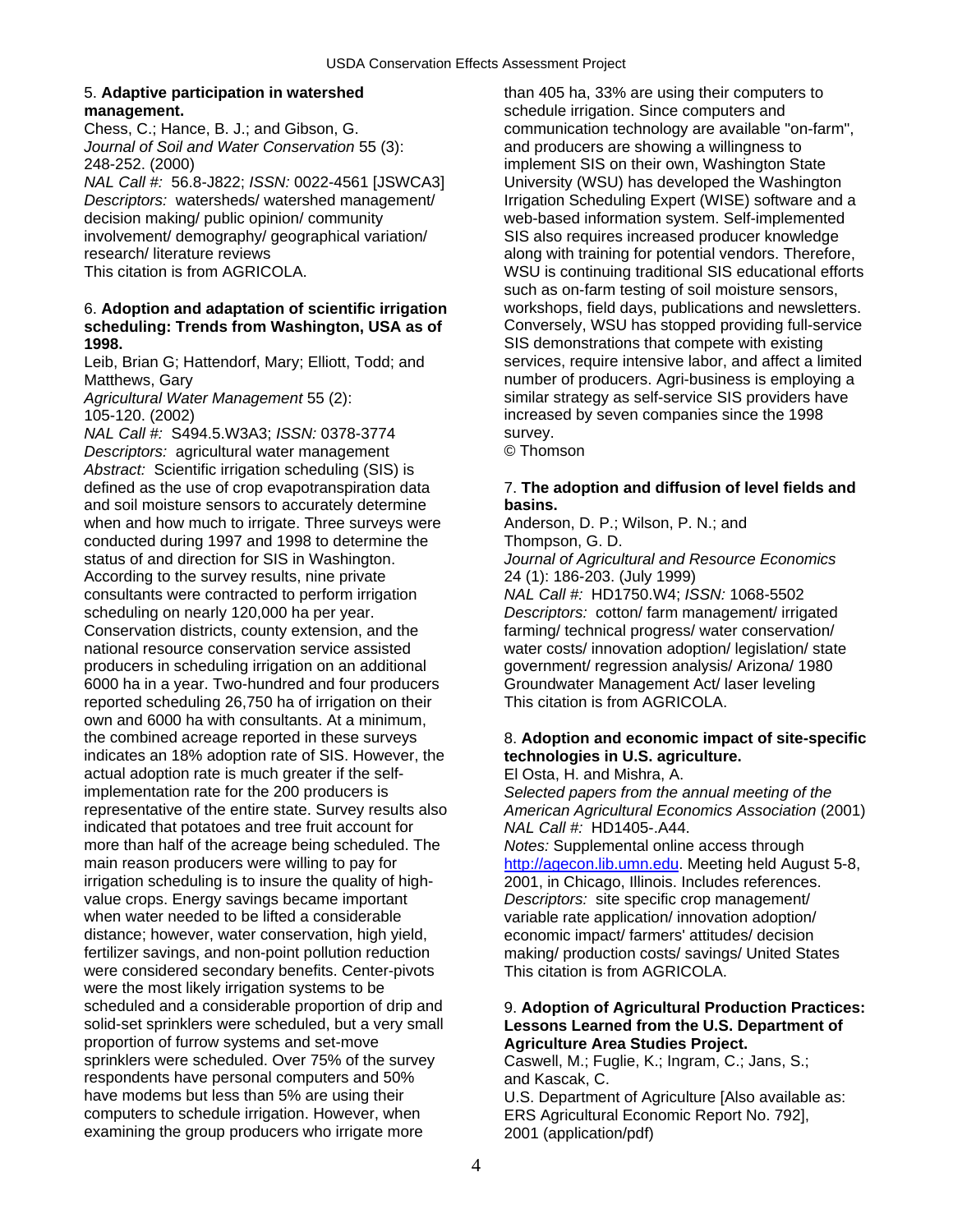## 5. **Adaptive participation in watershed** than 405 ha, 33% are using their computers to **management. now interest in the schedule irrigation.** Since computers and

*Journal of Soil and Water Conservation* 55 (3): and producers are showing a willingness to 248-252. (2000) implement SIS on their own, Washington State

*Descriptors:* watersheds/ watershed management/ Irrigation Scheduling Expert (WISE) software and a decision making/ public opinion/ community web-based information system. Self-implemented involvement/ demography/ geographical variation/ SIS also requires increased producer knowledge research/ literature reviews along with training for potential vendors. Therefore,

## 6. **Adoption and adaptation of scientific irrigation** workshops, field days, publications and newsletters. **scheduling: Trends from Washington, USA as of** Conversely, WSU has stopped providing full-service

Leib, Brian G; Hattendorf, Mary; Elliott, Todd; and

*NAL Call #: S494.5.W3A3; <i>ISSN: 0378-3774* survey. *Descriptors:* agricultural water management © Thomson *Abstract:* Scientific irrigation scheduling (SIS) is defined as the use of crop evapotranspiration data 7. **The adoption and diffusion of level fields and**  and soil moisture sensors to accurately determine **basins.**  when and how much to irrigate. Three surveys were Anderson, D. P.; Wilson, P. N.; and conducted during 1997 and 1998 to determine the Thompson, G. D. status of and direction for SIS in Washington. *Journal of Agricultural and Resource Economics* According to the survey results, nine private 24 (1): 186-203. (July 1999) consultants were contracted to perform irrigation *NAL Call #:* HD1750.W4; *ISSN:* 1068-5502 scheduling on nearly 120,000 ha per year. *Descriptors:* cotton/ farm management/ irrigated Conservation districts, county extension, and the farming/ technical progress/ water conservation/ national resource conservation service assisted water costs/ innovation adoption/ legislation/ state producers in scheduling irrigation on an additional government/ regression analysis/ Arizona/ 1980<br>6000 ha in a year. Two-hundred and four producers Groundwater Management Act/ laser leveling 6000 ha in a year. Two-hundred and four producers reported scheduling 26,750 ha of irrigation on their This citation is from AGRICOLA. own and 6000 ha with consultants. At a minimum, the combined acreage reported in these surveys 8. **Adoption and economic impact of site-specific**  indicates an 18% adoption rate of SIS. However, the **technologies in U.S. agriculture.**  actual adoption rate is much greater if the self- El Osta, H. and Mishra, A. implementation rate for the 200 producers is *Selected papers from the annual meeting of the*  representative of the entire state. Survey results also *American Agricultural Economics Association* (2001) indicated that potatoes and tree fruit account for *NAL Call #:* HD1405-.A44. more than half of the acreage being scheduled. The *Notes:* Supplemental online access through main reason producers were willing to pay for http://agecon.lib.umn.edu. Meeting held Aug irrigation scheduling is to insure the quality of high- 2001, in Chicago, Illinois. Includes references. value crops. Energy savings became important *Descriptors:* site specific crop management/<br>when water needed to be lifted a considerable variable rate application/ innovation adoption/ distance; however, water conservation, high yield, economic impact/ farmers' attitudes/ decision fertilizer savings, and non-point pollution reduction making/ production costs/ savings/ United States were considered secondary benefits. Center-pivots This citation is from AGRICOLA. were the most likely irrigation systems to be scheduled and a considerable proportion of drip and 9. Adoption of Agricultural Production Practices: solid-set sprinklers were scheduled, but a very small **Lessons Learned from the U.S. Department of**  proportion of furrow systems and set-move **Agriculture Area Studies Project.**<br>
sprinklers were scheduled. Over 75% of the survey **Caswell. M.: Fuglie. K.: Ingram. C.:** respondents have personal computers and 50% and Kascak, C.<br>have modems but less than 5% are using their U.S. Department computers to schedule irrigation. However, when ERS Agricultural Economic Report No. 792], examining the group producers who irrigate more 2001 (application/pdf)

Chess, C.; Hance, B. J.; and Gibson, G. communication technology are available "on-farm", *NAL Call #:* 56.8-J822; *ISSN:* 0022-4561 [JSWCA3] University (WSU) has developed the Washington This citation is from AGRICOLA. WSU is continuing traditional SIS educational efforts such as on-farm testing of soil moisture sensors, **1998.**<br>
Leib. Brian G: Hattendorf. Mary: Elliott. Todd: and **SIS demonstrations that compete with existing**<br>
services, require intensive labor, and affect a limited Matthews, Gary number of producers. Agri-business is employing a Agricultural Water Management 55 (2): similar strategy as self-service SIS providers have 105-120. (2002) increased by seven companies since the 1998

[http://agecon.lib.umn.edu](http://agecon.lib.umn.edu/). Meeting held August 5-8, variable rate application/ innovation adoption/

Caswell, M.; Fuglie, K.; Ingram, C.; Jans, S.;

U.S. Department of Agriculture [Also available as: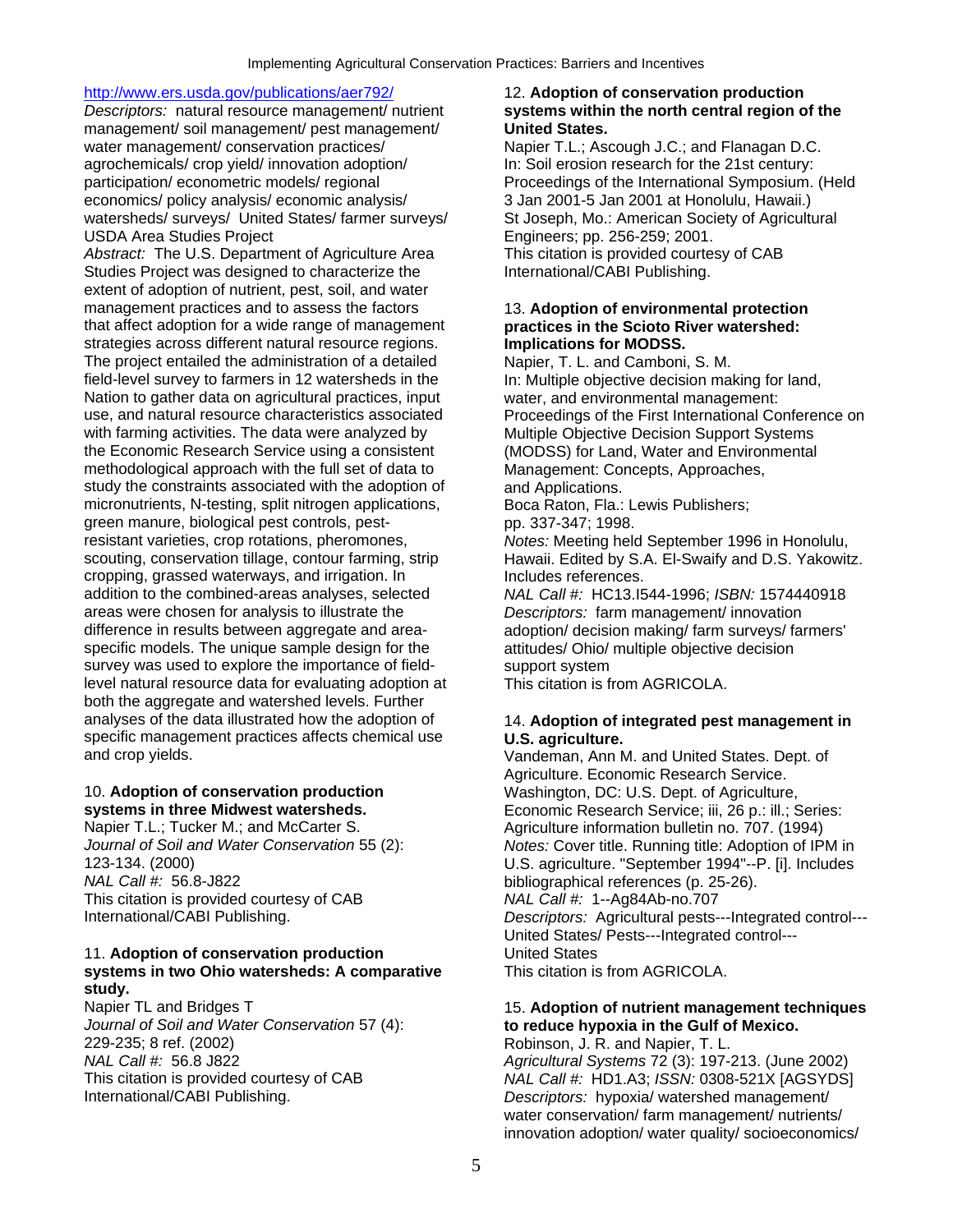## <http://www.ers.usda.gov/publications/aer792/> 12. **Adoption of conservation production**

*Descriptors:* natural resource management/ nutrient **systems within the north central region of the**  management/ soil management/ pest management/ **United States.** water management/ conservation practices/ Napier T.L.; Ascough J.C.; and Flanagan D.C. agrochemicals/ crop yield/ innovation adoption/ In: Soil erosion research for the 21st century: participation/ econometric models/ regional Proceedings of the International Symposium. (Held economics/ policy analysis/ economic analysis/ 3 Jan 2001-5 Jan 2001 at Honolulu, Hawaii.) watersheds/ surveys/ United States/ farmer surveys/ St Joseph, Mo.: American Society of Agricultural USDA Area Studies Project **Engineers**; pp. 256-259; 2001.

*Abstract:* The U.S. Department of Agriculture Area This citation is provided courtesy of CAB Studies Project was designed to characterize the International/CABI Publishing. extent of adoption of nutrient, pest, soil, and water management practices and to assess the factors 13. Adoption of environmental protection that affect adoption for a wide range of management **practices in the Scioto River watershed:**  strategies across different natural resource regions. **Implications for MODSS.** The project entailed the administration of a detailed Napier, T. L. and Camboni, S. M. field-level survey to farmers in 12 watersheds in the In: Multiple objective decision making for land, Nation to gather data on agricultural practices, input water, and environmental management: use, and natural resource characteristics associated Proceedings of the First International Conference on with farming activities. The data were analyzed by Multiple Objective Decision Support Systems the Economic Research Service using a consistent (MODSS) for Land, Water and Environmental methodological approach with the full set of data to Management: Concepts, Approaches, study the constraints associated with the adoption of and Applications. micronutrients, N-testing, split nitrogen applications, Boca Raton, Fla.: Lewis Publishers; green manure, biological pest controls, pest-<br>
pp. 337-347; 1998. resistant varieties, crop rotations, pheromones, *Notes:* Meeting held September 1996 in Honolulu, scouting, conservation tillage, contour farming, strip Hawaii. Edited by S.A. El-Swaify and D.S. Yakowitz. cropping, grassed waterways, and irrigation. In Includes references. addition to the combined-areas analyses, selected *NAL Call #:* HC13.I544-1996; *ISBN:* 1574440918 areas were chosen for analysis to illustrate the *Descriptors:* farm management/ innovation difference in results between aggregate and area-<br>
adoption/ decision making/ farm surveys/ farmers' specific models. The unique sample design for the attitudes/ Ohio/ multiple objective decision survey was used to explore the importance of field-<br>
level natural resource data for evaluating adoption at This citation is from AGRICOLA. level natural resource data for evaluating adoption at both the aggregate and watershed levels. Further analyses of the data illustrated how the adoption of 14. **Adoption of integrated pest management in**  specific management practices affects chemical use **U.S. agriculture.**  and crop yields. Vandeman, Ann M. and United States. Dept. of

## 10. **Adoption of conservation production** Washington, DC: U.S. Dept. of Agriculture,

This citation is provided courtesy of CAB *NAL Call #:* 1--Ag84Ab-no.707<br>International/CABI Publishing. *Descriptors:* Agricultural pests-

## 11. **Adoption of conservation production** United States **systems in two Ohio watersheds: A comparative** This citation is from AGRICOLA. **study.**

*Journal of Soil and Water Conservation* 57 (4): **to reduce hypoxia in the Gulf of Mexico.**<br>229-235: 8 ref. (2002) **compared in the Solimian Conservation** Represent A. R. and Napier. T. L.

Agriculture. Economic Research Service. **systems in three Midwest watersheds. Economic Research Service; iii, 26 p.: ill.; Series: iii** Napier T.L.; Tucker M.; and McCarter S. Agriculture information bulletin no. 707. (1994) *Journal of Soil and Water Conservation* 55 (2): *Notes:* Cover title. Running title: Adoption of IPM in 123-134. (2000) *D.S. agriculture.* "September 1994"--P. [i]. Includes 123-134. (2000)<br>
MAL Call #: 56.8-J822 (2000) Call 2010 (2010) U.S. agriculture. "September 1994"--P. [i]. Includes bibliographical references (p. 25-26). Descriptors: Agricultural pests---Integrated control---United States/ Pests---Integrated control---

## Napier TL and Bridges T **15. Adoption of nutrient management techniques**

Robinson, J. R. and Napier, T. L. *NAL Call #:* 56.8 J822 *Agricultural Systems* 72 (3): 197-213. (June 2002) This citation is provided courtesy of CAB *NAL Call #:* HD1.A3; *ISSN:* 0308-521X [AGSYDS] International/CABI Publishing.<br> *Descriptors:* hypoxia/ watershed management/ Descriptors: hypoxia/ watershed management/ water conservation/ farm management/ nutrients/ innovation adoption/ water quality/ socioeconomics/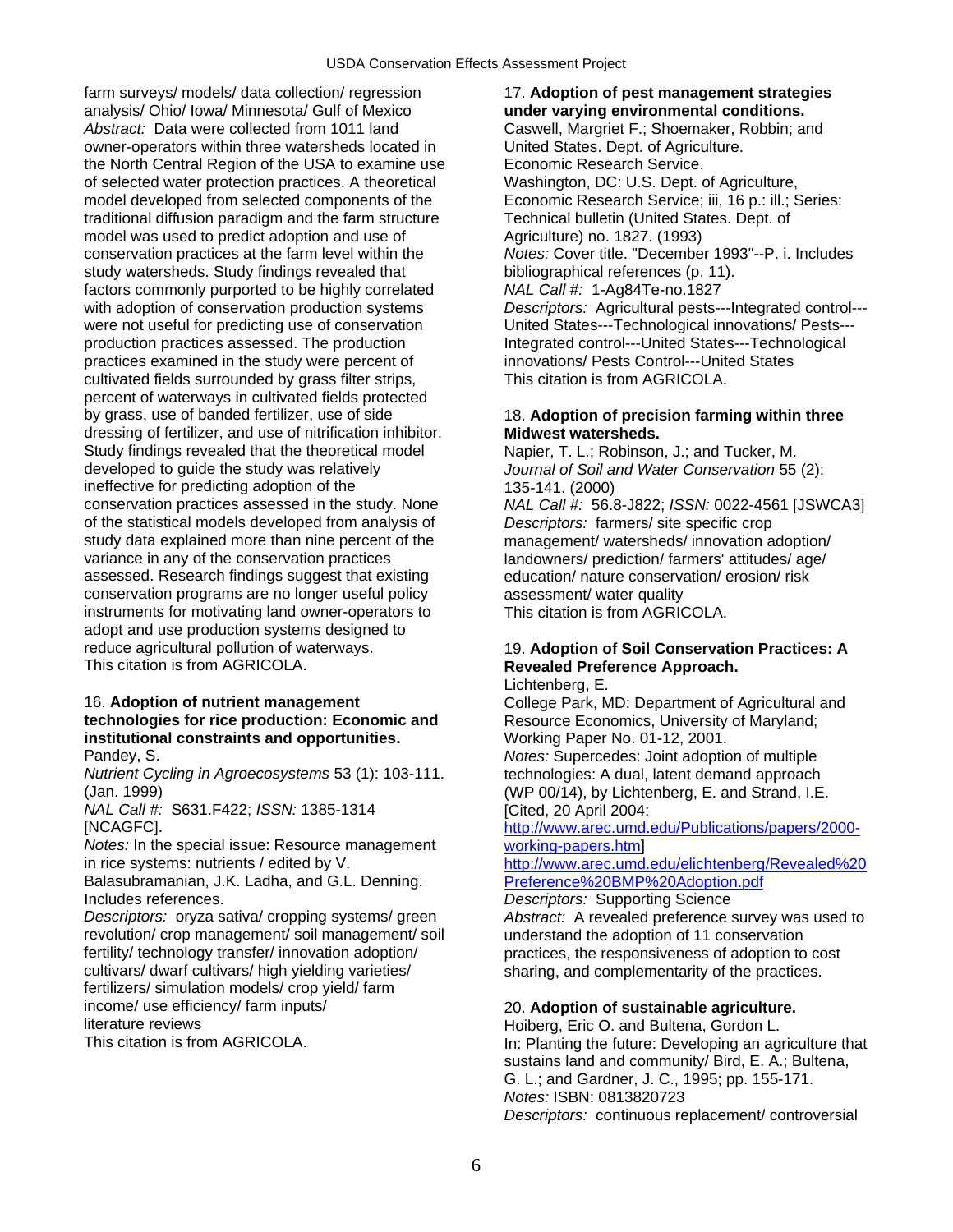farm surveys/ models/ data collection/ regression 17. **Adoption of pest management strategies**  analysis/ Ohio/ Iowa/ Minnesota/ Gulf of Mexico **under varying environmental conditions.**  owner-operators within three watersheds located in United States. Dept. of Agriculture. the North Central Region of the USA to examine use Economic Research Service. of selected water protection practices. A theoretical Washington, DC: U.S. Dept. of Agriculture, model developed from selected components of the Economic Research Service; iii, 16 p.: ill.; Series: traditional diffusion paradigm and the farm structure Technical bulletin (United States. Dept. of model was used to predict adoption and use of Agriculture) no. 1827. (1993) conservation practices at the farm level within the *Notes:* Cover title. "December 1993"--P. i. Includes study watersheds. Study findings revealed that bibliographical references (p. 11).<br>factors commonly purported to be highly correlated MAL Call #: 1-Ag84Te-no.1827 factors commonly purported to be highly correlated were not useful for predicting use of conservation<br>
production practices assessed. The production<br>
Integrated control---United States---Technological practices examined in the study were percent of cultivated fields surrounded by grass filter strips, This citation is from AGRICOLA. percent of waterways in cultivated fields protected by grass, use of banded fertilizer, use of side 18. **Adoption of precision farming within three**  dressing of fertilizer, and use of nitrification inhibitor. **Midwest watersheds.**  Study findings revealed that the theoretical model Napier, T. L.; Robinson, J.; and Tucker, M. developed to guide the study was relatively *Journal of Soil and Water Conservation* 55 (2): ineffective for predicting adoption of the 135-141. (2000) conservation practices assessed in the study. None *NAL Call #:* 56.8-J822; *ISSN:* 0022-4561 [JSWCA3] of the statistical models developed from analysis of *Descriptors:* farmers/ site specific crop study data explained more than nine percent of the management/ watersheds/ innovation adoption/ variance in any of the conservation practices landowners/ prediction/ farmers' attitudes/ age/ assessed. Research findings suggest that existing education/ nature conservation/ erosion/ risk conservation programs are no longer useful policy assessment/ water quality instruments for motivating land owner-operators to This citation is from AGRICOLA. adopt and use production systems designed to reduce agricultural pollution of waterways. 19. **Adoption of Soil Conservation Practices: A This citation is from AGRICOLA**.

## 16. **Adoption of nutrient management** College Park, MD: Department of Agricultural and **technologies for rice production: Economic and** Resource Economics, University of Maryland; **institutional constraints and opportunities.** Working Paper No. 01-12, 2001.

*Nutrient Cycling in Agroecosystems* 53 (1): 103-111. technologies: A dual, latent demand approach (Jan. 1999) (WP 00/14), by Lichtenberg, E. and Strand, I.E.

*NAL Call #:* S631.F422; *ISSN:* 1385-1314 [Cited, 20 April 2004:

*Notes:* In the special issue: Resource management working-papers.html<br>in rice systems: nutrients / edited by V. http://www.arec.umd

Balasubramanian, J.K. Ladha, and G.L. Denning.

revolution/ crop management/ soil management/ soil understand the adoption of 11 conservation fertility/ technology transfer/ innovation adoption/ practices, the responsiveness of adoption to cost cultivars/ high yielding varieties/ sharing, and complementarity of the practices. fertilizers/ simulation models/ crop yield/ farm income/ use efficiency/ farm inputs/ 20. **Adoption of sustainable agriculture.** 

Caswell, Margriet F.; Shoemaker, Robbin; and with adoption of conservation production systems *Descriptors:* Agricultural pests---Integrated control---Integrated control---United States---Technological<br>innovations/ Pests Control---United States

## **Revealed Preference Approach.**

Lichtenberg, E.

Pandey, S. *Notes:* Supercedes: Joint adoption of multiple

[NCAGFC]. [http://www.arec.umd.edu/Publications/papers/2000-](http://www.arec.umd.edu/Publications/papers/2000-working-papers.htm)

[http://www.arec.umd.edu/elichtenberg/Revealed%20](http://www.arec.umd.edu/elichtenberg/Revealed Preference BMP Adoption.pdf)<br>Preference%20BMP%20Adoption.pdf

Includes references.<br> *Descriptors:* Supporting Science<br> *Descriptors:* oryza sativa/ cropping systems/ green<br> *Abstract:* A revealed preference Abstract: A revealed preference survey was used to sharing, and complementarity of the practices.

literature reviews<br>
This citation is from AGRICOLA.<br>
This citation is from AGRICOLA.<br>
In: Planting the future: Developing an ag In: Planting the future: Developing an agriculture that sustains land and community/ Bird, E. A.; Bultena, G. L.; and Gardner, J. C., 1995; pp. 155-171. *Notes:* ISBN: 0813820723 *Descriptors:* continuous replacement/ controversial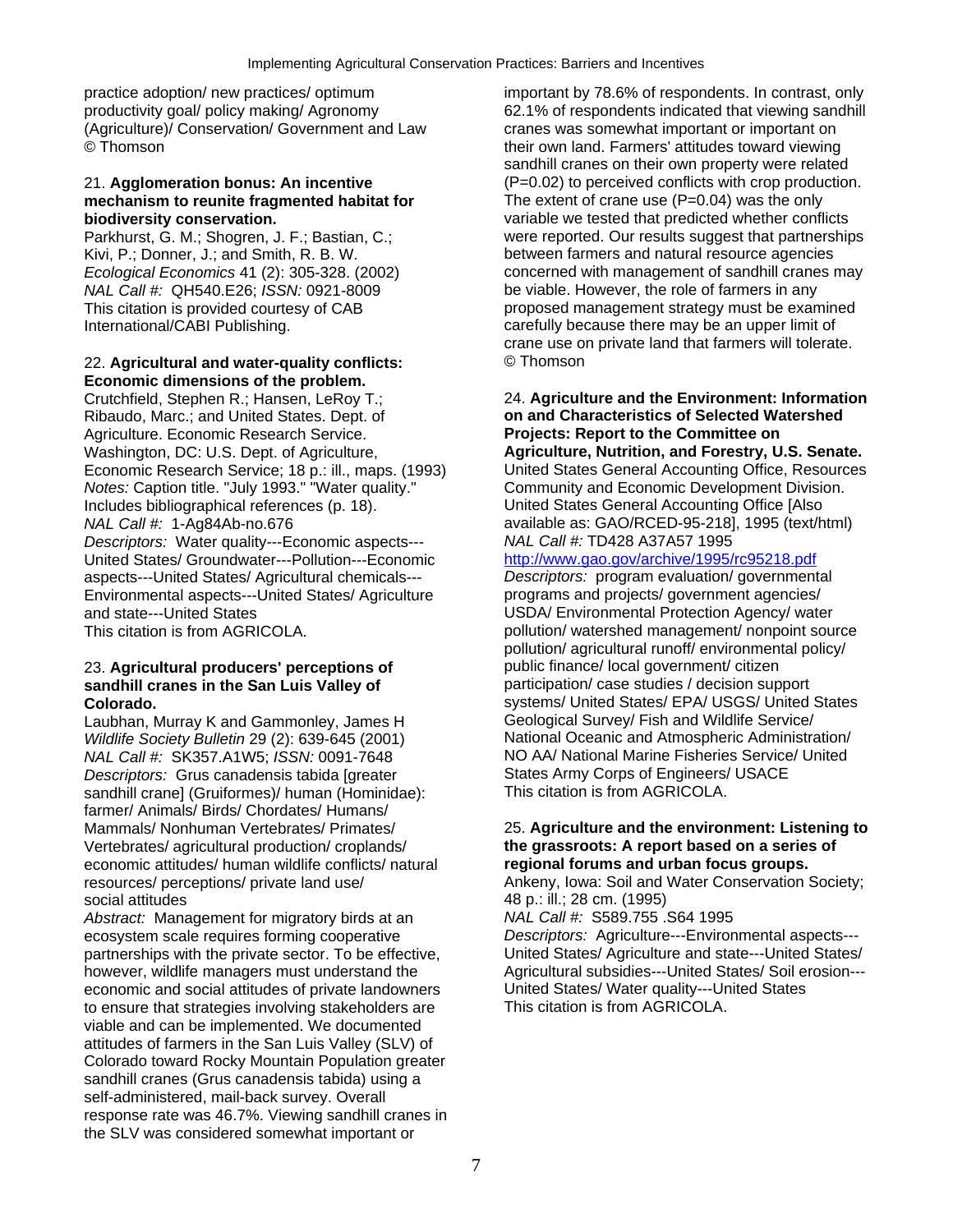practice adoption/ new practices/ optimum important by 78.6% of respondents. In contrast, only (Agriculture)/ Conservation/ Government and Law cranes was somewhat important or important on

## mechanism to reunite fragmented habitat for

*NAL Call #:* QH540.E26; *ISSN:* 0921-8009 be viable. However, the role of farmers in any

## 22. **Agricultural and water-quality conflicts:** © Thomson **Economic dimensions of the problem.**

Ribaudo, Marc.; and United States. Dept. of **on and Characteristics of Selected Watershed**  Agriculture. Economic Research Service. Washington, DC: U.S. Dept. of Agriculture, **Agriculture, Nutrition, and Forestry, U.S. Senate.**  *Notes:* Caption title. "July 1993." "Water quality." Includes bibliographical references (p. 18). United States General Accounting Office [Also *NAL Call #:* 1-Ag84Ab-no.676 <br>*Descriptors:* Water quality---Economic aspects--- *NAL Call #:* TD428 A37A57 1995 (text/html) *Descriptors: Water quality---Economic aspects---*United States/ Groundwater---Pollution---Economic <http://www.gao.gov/archive/1995/rc95218.pdf> aspects---United States/ Agricultural chemicals--- *Descriptors:* program evaluation/ governmental Environmental aspects---United States/ Agriculture and state---United States USDA/ Environmental Protection Agency/ water

## 23. Agricultural producers' perceptions of **public finance/ local government/ citizen sandhill cranes in the San Luis Valley of <b>participation** case studies / decision support

Laubhan, Murray K and Gammonley, James H *Wildlife Society Bulletin* 29 (2): 639-645 (2001) **National Oceanic and Atmospheric Administration/**<br>
MAL Call #: SK357 A1W5: ISSN: 0091-7648<br>
NO AA/ National Marine Fisheries Service/ United *NAL Call #:* SK357.A1W5; *ISSN:* 0091-7648 NO AA/ National Marine Fisheries Service<br>Descriptors: Grus canadensis tabida Igreater States Army Corps of Engineers/ USACE *Descriptors:* Grus canadensis tabida [greater States Army Corps of Engineers/<br>Sandhill cranel (Gruiformes)/ human (Hominidae): This citation is from AGRICOLA. sandhill crane] (Gruiformes)/ human (Hominidae): farmer/ Animals/ Birds/ Chordates/ Humans/ Vertebrates/ agricultural production/ croplands/ **the grassroots: A report based on a series of**  economic attitudes/ human wildlife conflicts/ natural

social attitudes<br>
Abstract: Management for migratory birds at an <br>
Abstract: Management for migratory birds at an <br>
MAL Call #: S589.755.S64 1995 *Abstract: Management for migratory birds at an* ecosystem scale requires forming cooperative *Descriptors:* Agriculture---Environmental aspects-- partnerships with the private sector. To be effective, United States/ Agriculture and state---United States/ however, wildlife managers must understand the Agricultural subsidies---United States/ Soil erosion--economic and social attitudes of private landowners United States/ Water quality---United States to ensure that strategies involving stakeholders are This citation is from AGRICOLA. viable and can be implemented. We documented attitudes of farmers in the San Luis Valley (SLV) of Colorado toward Rocky Mountain Population greater sandhill cranes (Grus canadensis tabida) using a self-administered, mail-back survey. Overall response rate was 46.7%. Viewing sandhill cranes in the SLV was considered somewhat important or

productivity goal/ policy making/ Agronomy 62.1% of respondents indicated that viewing sandhill their own land. Farmers' attitudes toward viewing sandhill cranes on their own property were related 21. **Agglomeration bonus: An incentive** (P=0.02) to perceived conflicts with crop production.<br> **mechanism to reunite fragmented habitat for** The extent of crane use (P=0.04) was the only **biodiversity conservation.** variable we tested that predicted whether conflicts Parkhurst, G. M.; Shogren, J. F.; Bastian, C.; were reported. Our results suggest that partnerships<br>Kivi, P.; Donner, J.; and Smith, R. B. W. Sand Content of the between farmers and natural resource agencies between farmers and natural resource agencies *Ecological Economics* 41 (2): 305-328. (2002) concerned with management of sandhill cranes may This citation is provided courtesy of CAB proposed management strategy must be examined International/CABI Publishing. The carefully because there may be an upper limit of crane use on private land that farmers will tolerate.

## Crutchfield, Stephen R.; Hansen, LeRoy T.; 24. **Agriculture and the Environment: Information**  Economic Research Service; 18 p.: ill., maps. (1993) United States General Accounting Office, Resources<br>
Notes: Caption title. "July 1993." "Water quality." Community and Economic Development Division.

This citation is from AGRICOLA. **pollution** / watershed management/ nonpoint source pollution/ agricultural runoff/ environmental policy/ **Colorado.**<br>
Laubhan. Murrav K and Gammonlev. James H Geological Survey/ Fish and Wildlife Service/

## Mammals/ Nonhuman Vertebrates/ Primates/ 25. **Agriculture and the environment: Listening to**

resources/ perceptions/ private land use/ Ankeny, Iowa: Soil and Water Conservation Society;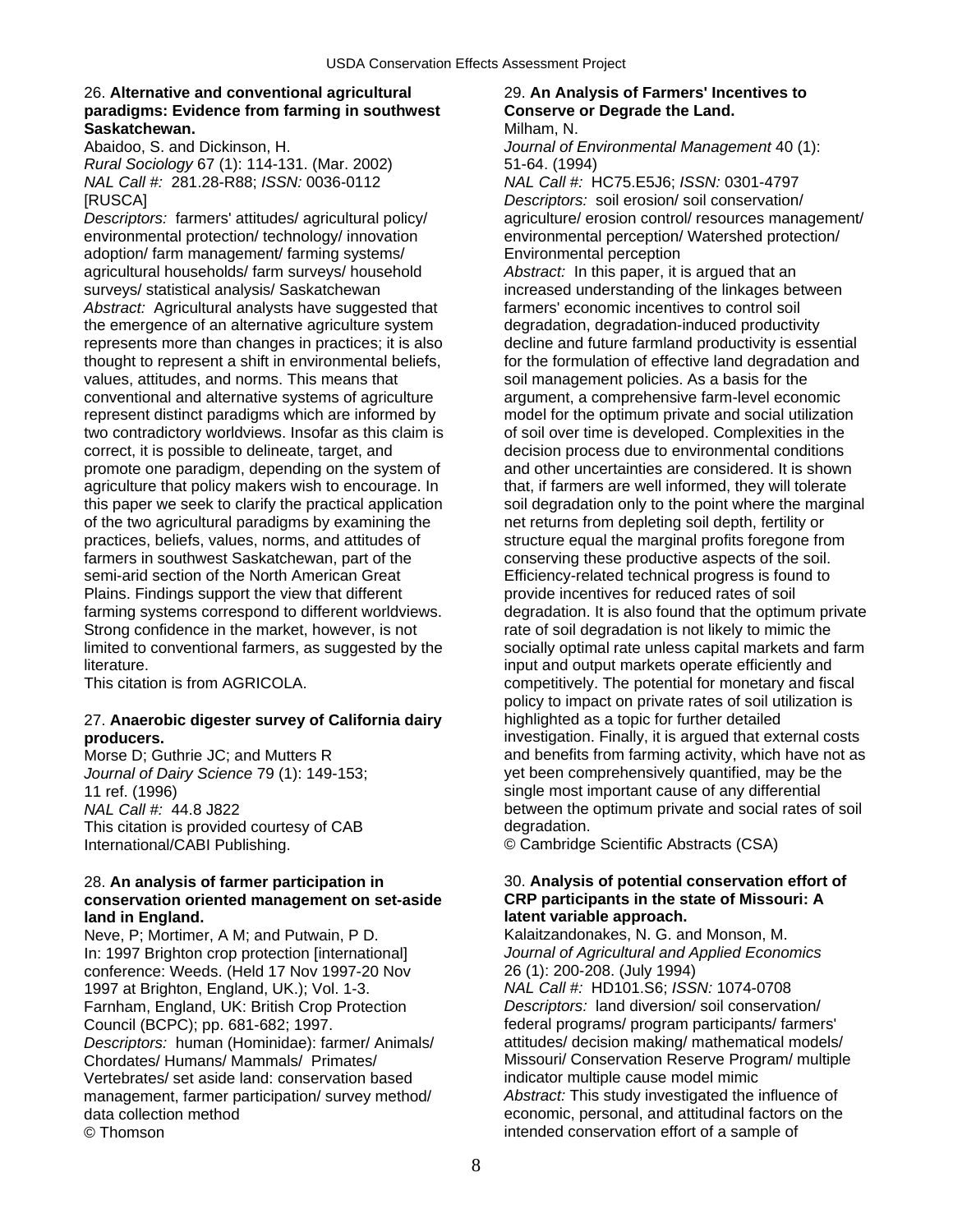## 26. **Alternative and conventional agricultural** 29. **An Analysis of Farmers' Incentives to paradigms: Evidence from farming in southwest Conserve or Degrade the Land. Saskatchewan. Saskatchewan. Milham, N. Milham, N.**

Abaidoo, S. and Dickinson, H. *Journal of Environmental Management* 40 (1): *Rural Sociology* 67 (1): 114-131. (Mar. 2002) 51-64. (1994) *NAL Call #: 281.28-R88; <i>ISSN:* 0036-0112 [RUSCA] *Descriptors:* soil erosion/ soil conservation/

*Descriptors:* farmers' attitudes/ agricultural policy/ agriculture/ erosion control/ resources management/ environmental protection/ technology/ innovation environmental perception/ Watershed protection/ adoption/ farm management/ farming systems/ Environmental perception agricultural households/ farm surveys/ household *Abstract:* In this paper, it is argued that an surveys/ statistical analysis/ Saskatchewan increased understanding of the linkages between *Abstract:* Agricultural analysts have suggested that farmers' economic incentives to control soil the emergence of an alternative agriculture system degradation, degradation-induced productivity represents more than changes in practices; it is also decline and future farmland productivity is essential thought to represent a shift in environmental beliefs, for the formulation of effective land degradation and values, attitudes, and norms. This means that soil management policies. As a basis for the conventional and alternative systems of agriculture argument, a comprehensive farm-level economic represent distinct paradigms which are informed by model for the optimum private and social utilization two contradictory worldviews. Insofar as this claim is of soil over time is developed. Complexities in the correct, it is possible to delineate, target, and decision process due to environmental conditions promote one paradigm, depending on the system of and other uncertainties are considered. It is shown agriculture that policy makers wish to encourage. In that, if farmers are well informed, they will tolerate of the two agricultural paradigms by examining the net returns from depleting soil depth, fertility or practices, beliefs, values, norms, and attitudes of structure equal the marginal profits foregone from farmers in southwest Saskatchewan, part of the conserving these productive aspects of the soil. semi-arid section of the North American Great Efficiency-related technical progress is found to Plains. Findings support the view that different provide incentives for reduced rates of soil Strong confidence in the market, however, is not rate of soil degradation is not likely to mimic the literature. input and output markets operate efficiently and

## 27. **Anaerobic digester survey of California dairy** highlighted as a topic for further detailed

This citation is provided courtesy of CAB degradation. International/CABI Publishing. © Cambridge Scientific Abstracts (CSA)

## 28. **An analysis of farmer participation in** 30. **Analysis of potential conservation effort of conservation oriented management on set-aside CRP participants in the state of Missouri: A land in England. latent variable approach.**

Neve, P; Mortimer, A M; and Putwain, P D. Kalaitzandonakes, N. G. and Monson, M. In: 1997 Brighton crop protection [international] *Journal of Agricultural and Applied Economics* conference: Weeds. (Held 17 Nov 1997-20 Nov 1997 at Brighton, England, UK.); Vol. 1-3. *NAL Call #:* HD101.S6; *ISSN:* 1074-0708 Farnham, England, UK: British Crop Protection *Descriptors:* land diversion/ soil conservation/ Council (BCPC); pp. 681-682; 1997. Federal programs/ program participants/ farmers' *Descriptors:* human (Hominidae): farmer/ Animals/ attitudes/ decision making/ mathematical models/ Chordates/ Humans/ Mammals/ Primates/ Missouri/ Conservation Reserve Program/ multiple Vertebrates/ set aside land: conservation based management, farmer participation/ survey method/ *Abstract:* This study investigated the influence of data collection method economic, personal, and attitudinal factors on the © Thomson intended conservation effort of a sample of

this paper we seek to clarify the practical application soil degradation only to the point where the marginal farming systems correspond to different worldviews. degradation. It is also found that the optimum private limited to conventional farmers, as suggested by the socially optimal rate unless capital markets and farm This citation is from AGRICOLA. Competitively. The potential for monetary and fiscal policy to impact on private rates of soil utilization is **producers. investigation. Finally, it is argued that external costs** Morse D: Guthrie JC: and Mutters R and benefits from farming activity, which have not as *Journal of Dairy Science* 79 (1): 149-153; yet been comprehensively quantified, may be the 11 ref. (1996) **Simple most important cause of any differential** *NAL Call #:* 44.8 J822 between the optimum private and social rates of soil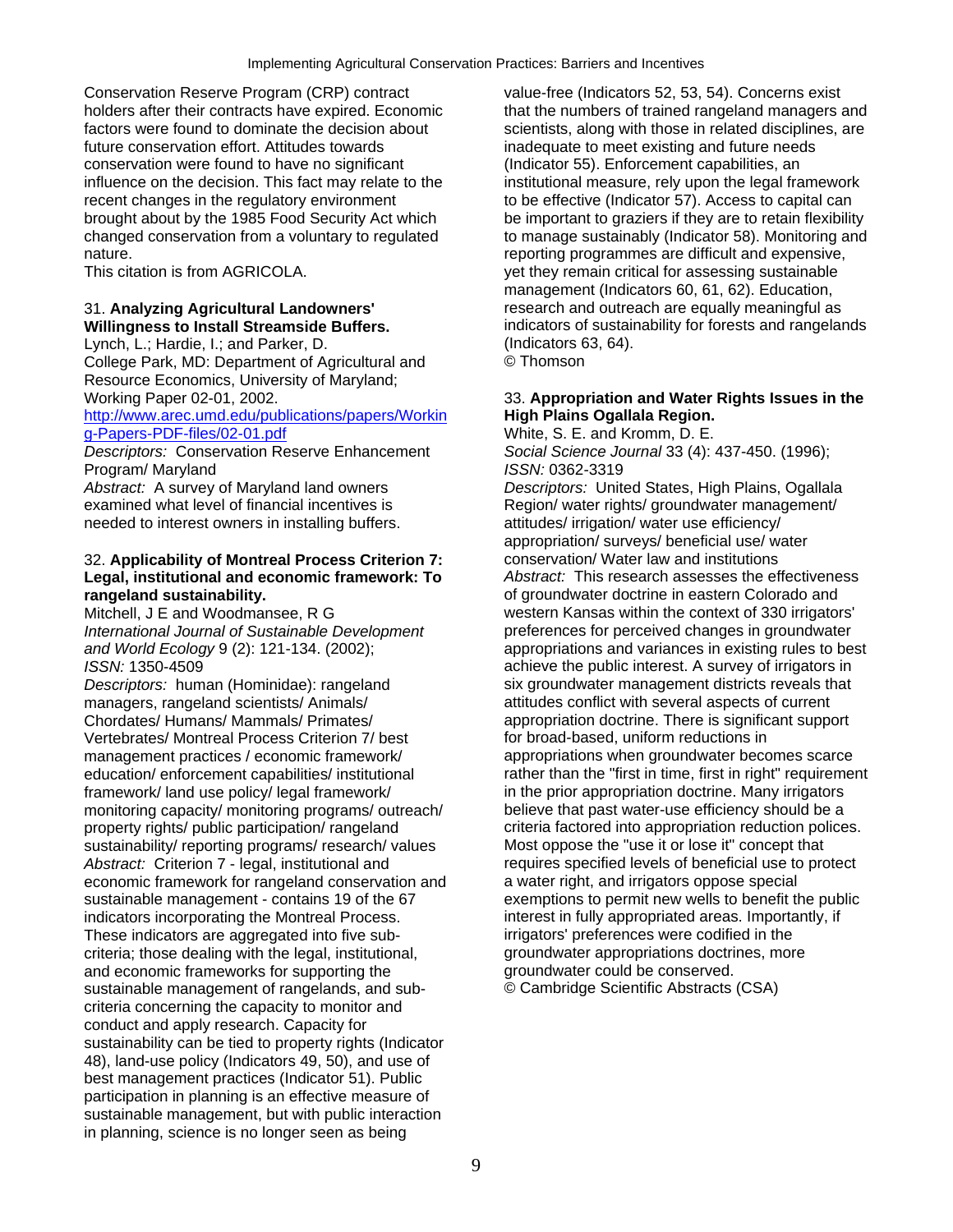Conservation Reserve Program (CRP) contract value-free (Indicators 52, 53, 54). Concerns exist conservation were found to have no significant (Indicator 55). Enforcement capabilities, an influence on the decision. This fact may relate to the institutional measure, rely upon the legal framework recent changes in the regulatory environment to be effective (Indicator 57). Access to capital can brought about by the 1985 Food Security Act which be important to graziers if they are to retain flexibility nature. The reporting programmes are difficult and expensive,

Lynch, L.; Hardie, I.; and Parker, D. (Indicators 63, 64).<br>College Park, MD: Department of Agricultural and (Callege Park, MD: Department of Agricultural and College Park, MD: Department of Agricultural and Resource Economics, University of Maryland;

## [http://www.arec.umd.edu/publications/papers/Workin](http://www.arec.umd.edu/publications/papers/Working-Papers-PDF-files/02-01.pdf) **High Plains Ogallala Region.**<br>
q-Papers-PDF-files/02-01.pdf **Milicary Contact Contact Contact Prometography** White, S. E. and Kromm, D. E.

*Descriptors:* Conservation Reserve Enhancement *Social Science Journal* 33 (4): 437-450. (1996); Program/ Maryland<br>
Abstract: A survey of Maryland land owners<br> *ISSN: 0362-3319*<br> *Descriptors: Unite* 

needed to interest owners in installing buffers. The attitudes/ irrigation/ water use efficiency/

## 32. **Applicability of Montreal Process Criterion 7:** conservation/ Water law and institutions **Legal, institutional and economic framework: To** *Abstract:* This research assesses the effectiveness

**Descriptors: human (Hominidae): rangeland six groundwater management districts reveals that** managers, rangeland scientists/ Animals/ attitudes conflict with several aspects of current Chordates/ Humans/ Mammals/ Primates/ appropriation doctrine. There is significant support Vertebrates/ Montreal Process Criterion 7/ best for broad-based, uniform reductions in management practices / economic framework/ appropriations when groundwater becomes scarce education/ enforcement capabilities/ institutional rather than the "first in time, first in right" requirement framework/ land use policy/ legal framework/ in the prior appropriation doctrine. Many irrigators monitoring capacity/ monitoring programs/ outreach/ believe that past water-use efficiency should be a property rights/ public participation/ rangeland criteria factored into appropriation reduction polices. sustainability/ reporting programs/ research/ values Most oppose the "use it or lose it" concept that<br>Abstract: Criterion 7 - legal. institutional and requires specified levels of beneficial use to protect *Abstract:* Criterion 7 - legal, institutional and requires specified levels of beneficial use to economic framework for rangeland conservation and a water right, and irrigators oppose special economic framework for rangeland conservation and sustainable management - contains 19 of the 67 exemptions to permit new wells to benefit the public<br>
indicators incorporating the Montreal Process.<br>
interest in fully appropriated areas. Importantly, if indicators incorporating the Montreal Process. These indicators are aggregated into five sub- irrigators' preferences were codified in the criteria; those dealing with the legal, institutional, example of promot appropriations doctrines, more and economic frameworks for supporting the server of appropriations doctrines, more and economic frameworks for suppor and economic frameworks for supporting the sustainable management of rangelands, and sub- © Cambridge Scientific Abstracts (CSA) criteria concerning the capacity to monitor and conduct and apply research. Capacity for sustainability can be tied to property rights (Indicator 48), land-use policy (Indicators 49, 50), and use of best management practices (Indicator 51). Public participation in planning is an effective measure of sustainable management, but with public interaction in planning, science is no longer seen as being

holders after their contracts have expired. Economic that the numbers of trained rangeland managers and<br>factors were found to dominate the decision about scientists, along with those in related disciplines, are factors were found to dominate the decision about scientists, along with those in related disciplines, are<br>future conservation effort. Attitudes towards in adequate to meet existing and future needs inadequate to meet existing and future needs changed conservation from a voluntary to regulated to manage sustainably (Indicator 58). Monitoring and This citation is from AGRICOLA. yet they remain critical for assessing sustainable management (Indicators 60, 61, 62). Education, 31. **Analyzing Agricultural Landowners'** research and outreach are equally meaningful as **Willingness to Install Streamside Buffers.** indicators of sustainability for forests and rangelands

## Working Paper 02-01, 2002. 33. **Appropriation and Water Rights Issues in the**

White, S. E. and Kromm, D. E. *Descriptors:* United States, High Plains, Ogallala examined what level of financial incentives is Region/ water rights/ groundwater management/ appropriation/ surveys/ beneficial use/ water **rangeland sustainability.**<br>
Mitchell, J E and Woodmansee, R G **build be a set of groundwater doctrine in eastern Colorado and Mitchell, J E and Woodmansee, R G** western Kansas within the context of 330 irrigators' *International Journal of Sustainable Development* preferences for perceived changes in groundwater *and World Ecology* 9 (2): 121-134. (2002); appropriations and variances in existing rules to best *ISSN:* 1350-4509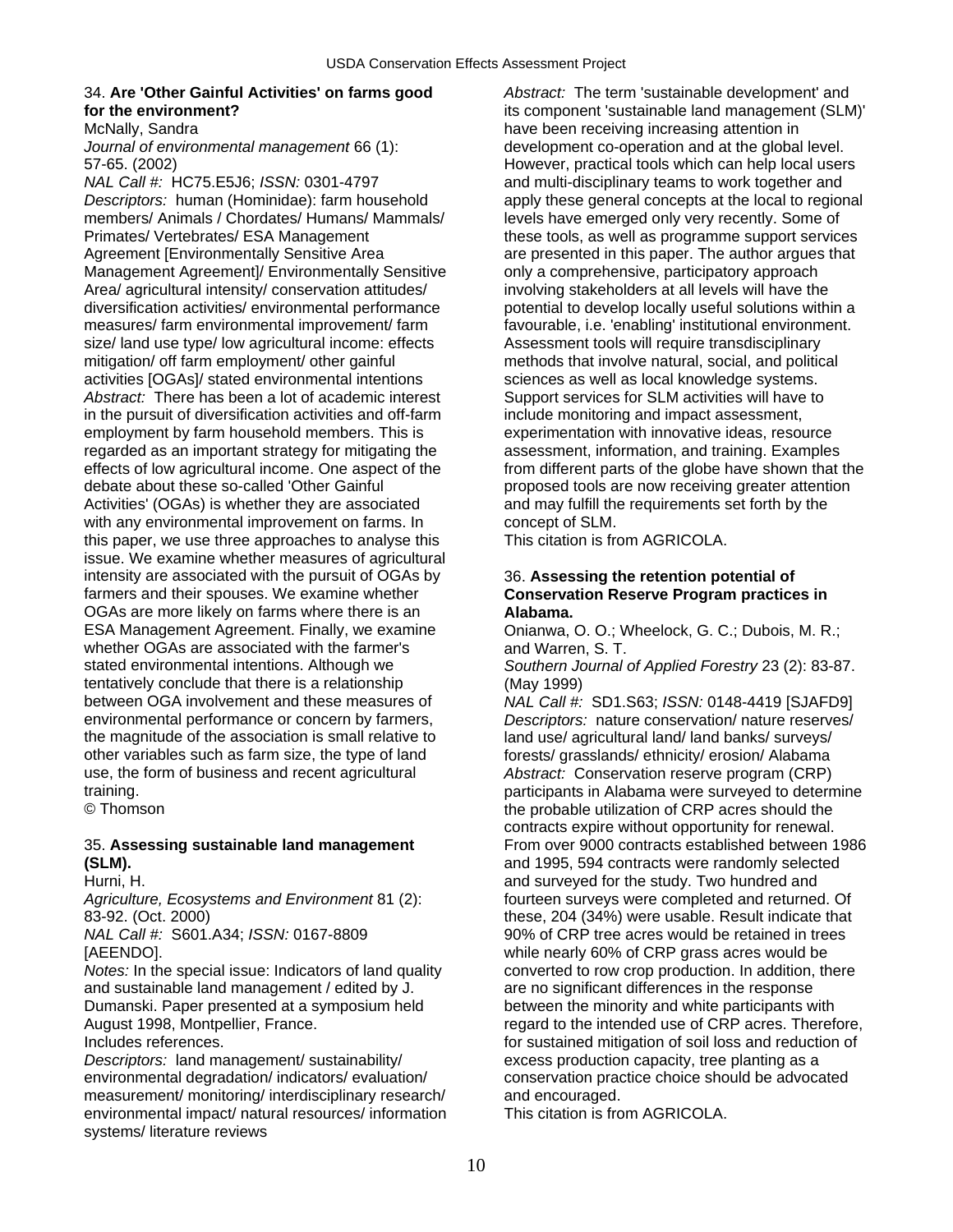## 34. **Are 'Other Gainful Activities' on farms good** *Abstract:* The term 'sustainable development' and

*Descriptors:* human (Hominidae): farm household apply these general concepts at the local to regional members/ Animals / Chordates/ Humans/ Mammals/ levels have emerged only very recently. Some of Primates/ Vertebrates/ ESA Management these tools, as well as programme support services Agreement [Environmentally Sensitive Area are presented in this paper. The author argues that Management Agreement]/ Environmentally Sensitive only a comprehensive, participatory approach Area/ agricultural intensity/ conservation attitudes/ involving stakeholders at all levels will have the diversification activities/ environmental performance potential to develop locally useful solutions within a measures/ farm environmental improvement/ farm favourable, i.e. 'enabling' institutional environment. size/ land use type/ low agricultural income: effects Assessment tools will require transdisciplinary mitigation/ off farm employment/ other gainful methods that involve natural, social, and political activities [OGAs]/ stated environmental intentions sciences as well as local knowledge systems. Abstract: There has been a lot of academic interest Support services for SLM activities will have to in the pursuit of diversification activities and off-farm include monitoring and impact assessment, employment by farm household members. This is experimentation with innovative ideas, resource regarded as an important strategy for mitigating the assessment, information, and training. Examples debate about these so-called 'Other Gainful proposed tools are now receiving greater attention Activities' (OGAs) is whether they are associated and may fulfill the requirements set forth by the with any environmental improvement on farms. In concept of SLM. this paper, we use three approaches to analyse this This citation is from AGRICOLA. issue. We examine whether measures of agricultural intensity are associated with the pursuit of OGAs by 36. **Assessing the retention potential of**  farmers and their spouses. We examine whether **Conservation Reserve Program practices in**  OGAs are more likely on farms where there is an **Alabama.**  whether OGAs are associated with the farmer's and Warren, S. T. stated environmental intentions. Although we *Southern Journal of Applied Forestry* 23 (2): 83-87. tentatively conclude that there is a relationship (May 1999) between OGA involvement and these measures of *NAL Call #:* SD1.S63; *ISSN:* 0148-4419 [SJAFD9] environmental performance or concern by farmers, *Descriptors:* nature conservation/ nature reserves/<br>the magnitude of the association is small relative to land use/ agricultural land/ land banks/ surveys/ the magnitude of the association is small relative to other variables such as farm size, the type of land forests/ grasslands/ ethnicity/ erosion/ Alabama use, the form of business and recent agricultural *Abstract:* Conservation reserve program (CRP)

and sustainable land management / edited by J. are no significant differences in the response Dumanski. Paper presented at a symposium held between the minority and white participants with

environmental degradation/ indicators/ evaluation/ conservation practice choice should be advocated measurement/ monitoring/ interdisciplinary research/ and encouraged. environmental impact/ natural resources/ information This citation is from AGRICOLA. systems/ literature reviews

**for the environment?** its component 'sustainable land management (SLM)' McNally, Sandra have been receiving increasing attention in<br>*Journal of environmental management* 66 (1): https://www.development.co-operation and at the globa development co-operation and at the global level. 57-65. (2002)<br>MAL Call #: HC75.E5J6: ISSN: 0301-4797 **However, practical tools which can help local users**<br>and multi-disciplinary teams to work together and and multi-disciplinary teams to work together and effects of low agricultural income. One aspect of the from different parts of the globe have shown that the

Onianwa, O. O.; Wheelock, G. C.; Dubois, M. R.;

participants in Alabama were surveyed to determine © Thomson the probable utilization of CRP acres should the contracts expire without opportunity for renewal. 35. **Assessing sustainable land management** From over 9000 contracts established between 1986 **(SLM).** and 1995, 594 contracts were randomly selected Hurni, H. and surveyed for the study. Two hundred and *Agriculture, Ecosystems and Environment* 81 (2): fourteen surveys were completed and returned. Of 83-92. (Oct. 2000)<br>
MAL Call #: S601.A34; ISSN: 0167-8809<br>
MAL Call #: S601.A34; ISSN: 0167-8809<br>
90% of CRP tree acres would be retained in trees  $90\%$  of CRP tree acres would be retained in trees [AEENDO]. while nearly 60% of CRP grass acres would be *Notes:* In the special issue: Indicators of land quality converted to row crop production. In addition, there August 1998, Montpellier, France. The same of the intended use of CRP acres. Therefore, Includes references. **For sustained mitigation of soil loss and reduction of** soil loss and reduction of *Descriptors:* land management/ sustainability/ excess production capacity, tree planting as a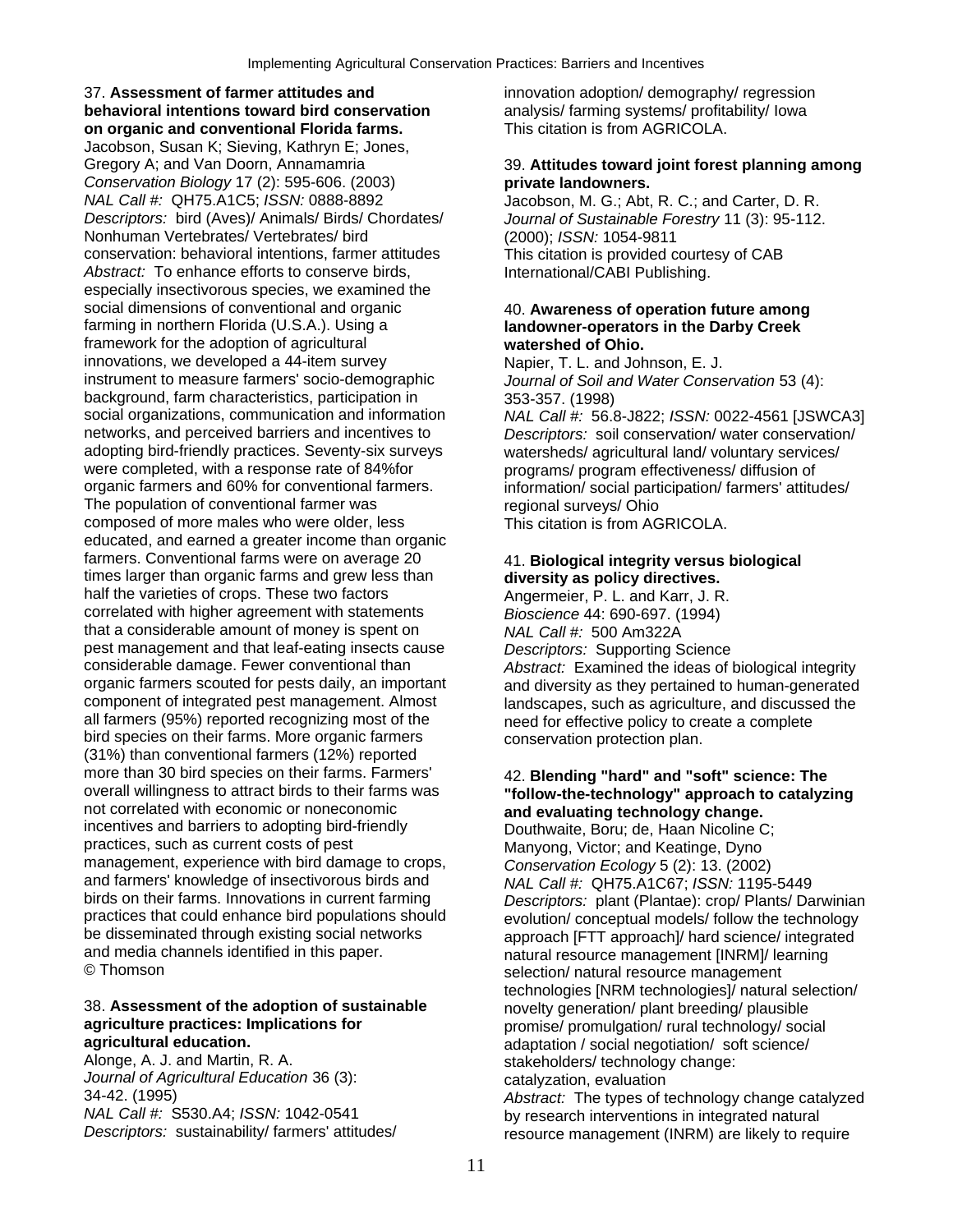37. **Assessment of farmer attitudes and** innovation adoption/ demography/ regression **behavioral intentions toward bird conservation** analysis/ farming systems/ profitability/ Iowa<br> **on organic and conventional Florida farms.** This citation is from AGRICOLA. on organic and conventional Florida farms. Jacobson, Susan K; Sieving, Kathryn E; Jones, Gregory A; and Van Doorn, Annamamria 39. **Attitudes toward joint forest planning among**  *Conservation Biology* 17 (2): 595-606. (2003) **private landowners.**  *Descriptors:* bird (Aves)/ Animals/ Birds/ Chordates/ *Journal of Sustainable Forestry* 11 (3): 95-112. Nonhuman Vertebrates/ Vertebrates/ bird (2000); *ISSN:* 1054-9811 conservation: behavioral intentions, farmer attitudes This citation is provided courtesy of CAB Abstract: To enhance efforts to conserve birds, International/CABI Publishing. especially insectivorous species, we examined the social dimensions of conventional and organic 40. **Awareness of operation future among**<br> **Austrian Amorthern Florida (U.S.A.).** Using a **and and and owner-operators in the Darby Creek** framework for the adoption of agricultural **watershed of Ohio.**  innovations, we developed a 44-item survey Napier, T. L. and Johnson, E. J. instrument to measure farmers' socio-demographic *Journal of Soil and Water Conservation* 53 (4): background, farm characteristics, participation in 353-357. (1998) social organizations, communication and information *NAL Call #:* 56.8-J822; *ISSN:* 0022-4561 [JSWCA3]<br>networks, and perceived barriers and incentives to *Descriptors:* soil conservation/ water conservation/ adopting bird-friendly practices. Seventy-six surveys watersheds/ agricultural land/ voluntary services/ were completed, with a response rate of 84%for programs/ program effectiveness/ diffusion of organic farmers and 60% for conventional farmers. The population of conventional farmer was regional surveys/ Ohio composed of more males who were older, less This citation is from AGRICOLA. educated, and earned a greater income than organic farmers. Conventional farms were on average 20 41. **Biological integrity versus biological**  times larger than organic farms and grew less than **diversity as policy directives.**  half the varieties of crops. These two factors **Angermeier**, P. L. and Karr, J. R. correlated with higher agreement with statements *Bioscience* 44: 690-697. (1994) that a considerable amount of money is spent on *NAL Call #:* 500 Am322A pest management and that leaf-eating insects cause *Descriptors:* Supporting Science organic farmers scouted for pests daily, an important and diversity as they pertained to human-generated<br>
component of integrated pest management. Almost and sandscapes, such as agriculture, and discussed the all farmers (95%) reported recognizing most of the need for effective policy to create a complete bird species on their farms. More organic farmers conservation protection plan. (31%) than conventional farmers (12%) reported more than 30 bird species on their farms. Farmers' and **All and "and "and "soft" science: The**<br>
overall willingness to attract birds to their farms was **the light of the and the rechnology**" approach to catalyz overall willingness to attract birds to their farms was **"follow-the-technology" approach to catalyzing**  incentives and barriers to adopting bird-friendly<br>
practices, such as current costs of pest Manyong Victor: and Keatinge Dyno management, experience with bird damage to crops, *Conservation Ecology* 5 (2): 13. (2002) and farmers' knowledge of insectivorous birds and *NAL Call #:* QH75.A1C67; *ISSN:* 1195-5449<br>birds on their farms. Innovations in current farming *Descriptors:* plant (Plantae): crop/ Plants/ Da practices that could enhance bird populations should evolution/ conceptual models/ follow the technology<br>be disseminated through existing social networks approach IFTT approachl/ hard science/ integrated

## 38. **Assessment of the adoption of sustainable** novelty generation/ plant breeding/ plausible **agriculture practices: Implications for promise/ promise/ promulgation/ rural technology/ social agricultural education.**<br>**adaptation** / social negotiation/ soft science/

*Journal of Agricultural Education* 36 (3): catalyzation, evaluation<br>34-42. (1995) 34-42. (1995)

Jacobson, M. G.; Abt, R. C.; and Carter, D. R.

## **landowner-operators in the Darby Creek**

Descriptors: soil conservation/ water conservation/

information/ social participation/ farmers' attitudes/

Abstract: Examined the ideas of biological integrity landscapes, such as agriculture, and discussed the

## and evaluating technology change.

Manyong, Victor; and Keatinge, Dyno **Descriptors: plant (Plantae): crop/ Plants/ Darwinian** be disseminated through existing social networks<br>and media channels identified in this paper.<br>© Thomson<br>© Thomson technologies [NRM technologies]/ natural selection/ **agricultural education.**<br>
Alonge, A. J. and Martin, R. A. **and Martin R. A.** Alonge, A. J. and Martin, R. A. stakeholders/ technology change:

34-42. (1995) *Abstract:* The types of technology change catalyzed *NAL Call #:* S530.A4; *ISSN:* 1042-0541 by research interventions in integrated natural resource management (INRM) are likely to require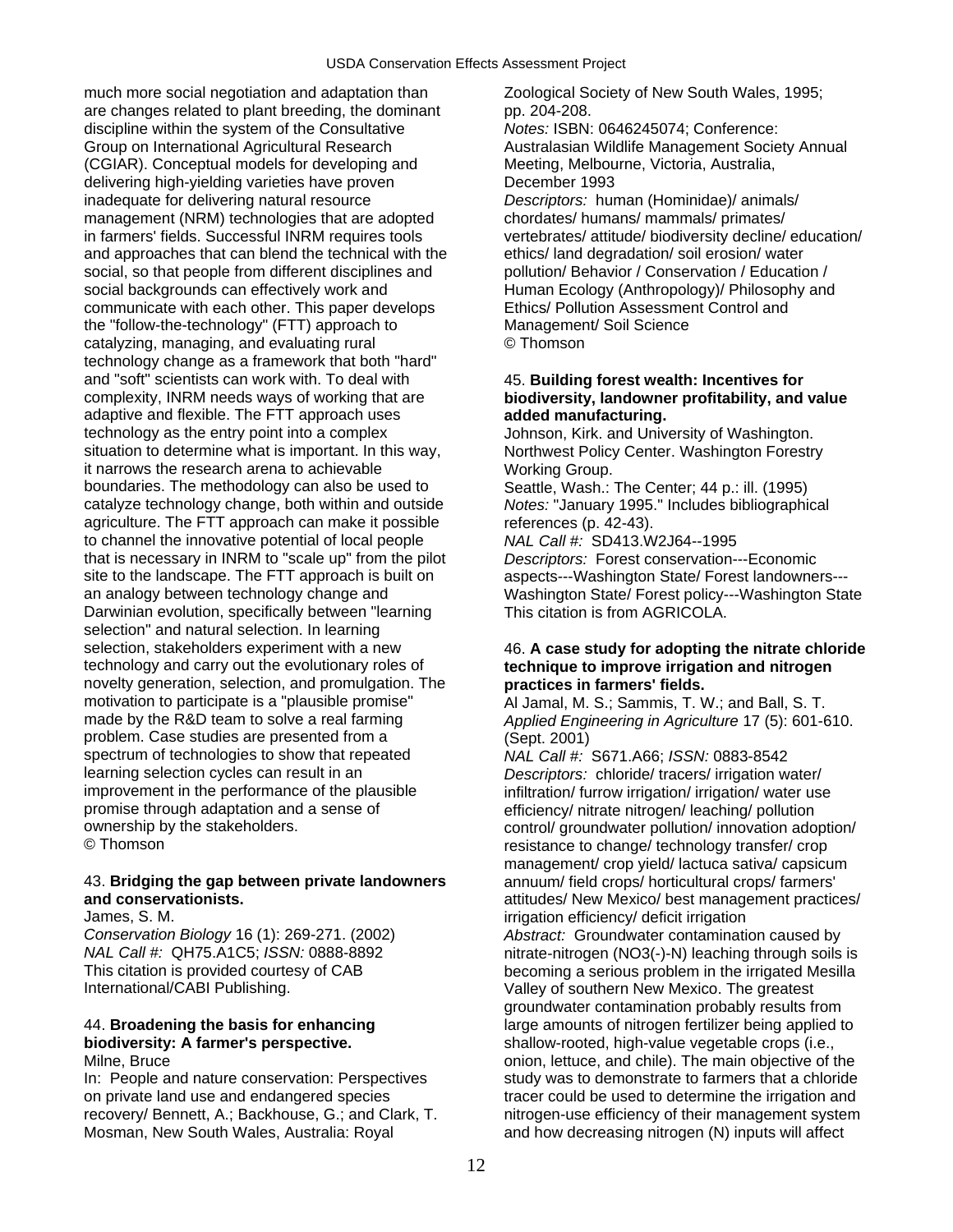much more social negotiation and adaptation than <br>Zoological Society of New South Wales, 1995; are changes related to plant breeding, the dominant pp. 204-208.<br>
discipline within the system of the Consultative Motes: ISBN: 0646245074; Conference: discipline within the system of the Consultative Group on International Agricultural Research Australasian Wildlife Management Society Annual (CGIAR). Conceptual models for developing and Meeting, Melbourne, Victoria, Australia, delivering high-yielding varieties have proven December 1993 inadequate for delivering natural resource *Descriptors:* human (Hominidae)/ animals/ management (NRM) technologies that are adopted chordates/ humans/ mammals/ primates/ in farmers' fields. Successful INRM requires tools vertebrates/ attitude/ biodiversity decline/ education/ and approaches that can blend the technical with the ethics/ land degradation/ soil erosion/ water social, so that people from different disciplines and pollution Behavior / Conservation / Education / social backgrounds can effectively work and Human Ecology (Anthropology)/ Philosophy and communicate with each other. This paper develops Ethics/ Pollution Assessment Control and the "follow-the-technology" (FTT) approach to Management/ Soil Science<br>
catalvzing, managing, and evaluating rural C Thomson catalyzing, managing, and evaluating rural technology change as a framework that both "hard" and "soft" scientists can work with. To deal with 45. **Building forest wealth: Incentives for**  complexity, INRM needs ways of working that are **biodiversity, landowner profitability, and value**  adaptive and flexible. The FTT approach uses **added manufacturing.**  technology as the entry point into a complex Johnson, Kirk. and University of Washington. situation to determine what is important. In this way, Northwest Policy Center. Washington Forestry it narrows the research arena to achievable Working Group. boundaries. The methodology can also be used to Seattle, Wash.: The Center; 44 p.: ill. (1995) catalyze technology change, both within and outside *Notes:* "January 1995." Includes bibliographical agriculture. The FTT approach can make it possible references (p. 42-43).<br>to channel the innovative potential of local people  $NAL Call #: SD413.W2J64-1995$ to channel the innovative potential of local people that is necessary in INRM to "scale up" from the pilot *Descriptors:* Forest conservation---Economic an analogy between technology change and Washington State/ Forest policy---Washington State Darwinian evolution, specifically between "learning This citation is from AGRICOLA. selection" and natural selection. In learning selection, stakeholders experiment with a new 46. A case study for adopting the nitrate chloride is technology and carry out the evolutionary roles of **the example and containers** technology and ritrogen novelty generation, selection, and promulgation. The **practices in farmers' fields.**<br>motivation to participate is a "plausible promise" Al Jamal. M. S.: Sammis. T. V motivation to participate is a "plausible promise" Al Jamal, M. S.; Sammis, T. W.; and Ball, S. T.<br>made by the R&D team to solve a real farming *Applied Engineering in Agriculture* 17 (5): 601-6 problem. Case studies are presented from a (Sept. 2001) spectrum of technologies to show that repeated *NAL Call #:* S671.A66; *ISSN:* 0883-8542<br>
learning selection cycles can result in an *Descriptors:* chloride/ tracers/ irrigation w learning selection cycles can result in an *Descriptors:* chloride/ tracers/ irrigation water/ promise through adaptation and a sense of efficiency/ nitrate nitrogen/ leaching/ pollution<br>
ownership by the stakeholders.<br>
ownership by the stakeholders. ownership by the stakeholders.<br>
© Thomson<br>
© Thomson

## 43. **Bridging the gap between private landowners** annuum/ field crops/ horticultural crops/ farmers'

International/CABI Publishing. Valley of southern New Mexico. The greatest

on private land use and endangered species tracer could be used to determine the irrigation and recovery/ Bennett, A.; Backhouse, G.; and Clark, T. The nitrogen-use efficiency of their management system Mosman, New South Wales, Australia: Royal and how decreasing nitrogen (N) inputs will affect

aspects---Washington State/ Forest landowners---

## technique to improve irrigation and nitrogen

Applied Engineering in Agriculture 17 (5): 601-610.

in filtration/ furrow irrigation/ irrigation/ water use resistance to change/ technology transfer/ crop management/ crop yield/ lactuca sativa/ capsicum **and conservationists.** <br> **attitudes/ New Mexico/ best management practices/**<br> **attitudes/ New Mexico/ best management practices/**<br> **deficit irrigation** James, S. M.<br>Conservation Biology 16 (1): 269-271. (2002) The substract: Groundwater contamination Conservation Biology 16 Abstract: Groundwater contamination caused by *NAL Call #:* QH75.A1C5; *ISSN:* 0888-8892 nitrate-nitrogen (NO3(-)-N) leaching through soils is This citation is provided courtesy of CAB becoming a serious problem in the irrigated Mesilla groundwater contamination probably results from 44. **Broadening the basis for enhancing** large amounts of nitrogen fertilizer being applied to **biodiversity: A farmer's perspective. biodiversity: A farmer's perspective. shallow-rooted, high-value vegetable crops (i.e., online. Bruce** and chile). The main objective of t onion, lettuce, and chile). The main objective of the In: People and nature conservation: Perspectives study was to demonstrate to farmers that a chloride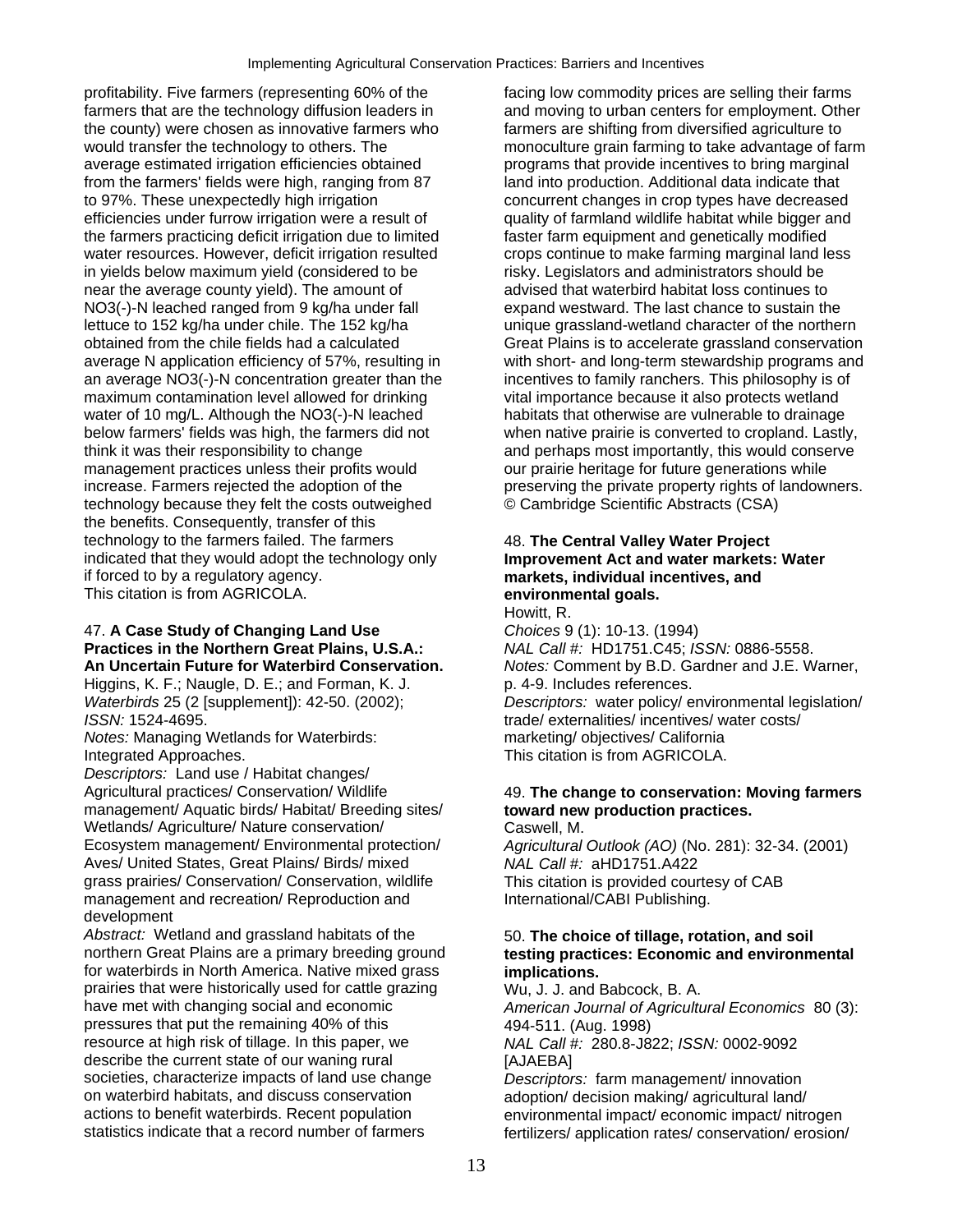profitability. Five farmers (representing 60% of the facing low commodity prices are selling their farms farmers that are the technology diffusion leaders in and moving to urban centers for employment. Other the county) were chosen as innovative farmers who farmers are shifting from diversified agriculture to<br>would transfer the technology to others. The monoculture grain farming to take advantage of fa average estimated irrigation efficiencies obtained programs that provide incentives to bring marginal from the farmers' fields were high, ranging from 87 land into production. Additional data indicate that to 97%. These unexpectedly high irrigation concurrent changes in crop types have decreased efficiencies under furrow irrigation were a result of quality of farmland wildlife habitat while bigger and the farmers practicing deficit irrigation due to limited faster farm equipment and genetically modified water resources. However, deficit irrigation resulted crops continue to make farming marginal land less in yields below maximum yield (considered to be risky. Legislators and administrators should be inear the average county yield). The amount of advised that waterbird habitat loss continues to near the average county yield). The amount of NO3(-)-N leached ranged from 9 kg/ha under fall expand westward. The last chance to sustain the lettuce to 152 kg/ha under chile. The 152 kg/ha unique grassland-wetland character of the northern obtained from the chile fields had a calculated Great Plains is to accelerate grassland conservation an average NO3(-)-N concentration greater than the incentives to family ranchers. This philosophy is of maximum contamination level allowed for drinking vital importance because it also protects wetland water of 10 mg/L. Although the NO3(-)-N leached habitats that otherwise are vulnerable to drainage below farmers' fields was high, the farmers did not when native prairie is converted to cropland. Lastly, think it was their responsibility to change and perhaps most importantly, this would conserve management practices unless their profits would our prairie heritage for future generations while increase. Farmers rejected the adoption of the preserving the private property rights of landowners. technology because they felt the costs outweighed © Cambridge Scientific Abstracts (CSA) the benefits. Consequently, transfer of this technology to the farmers failed. The farmers 48. **The Central Valley Water Project**  indicated that they would adopt the technology only **Improvement Act and water markets: Water** if forced to by a requlatory agency. This citation is from AGRICOLA. **environmental goals.** 

## 47. **A Case Study of Changing Land Use** *Choices* 9 (1): 10-13. (1994) **Practices in the Northern Great Plains, U.S.A.:** *NAL Call #:* HD1751.C45; *ISSN:* 0886-5558.<br>**An Uncertain Future for Waterbird Conservation.** *Notes:* **Comment by B.D. Gardner and J.E. W**

Higgins, K. F.; Naugle, D. E.; and Forman, K. J. p. 4-9. Includes references.

*Notes:* Managing Wetlands for Waterbirds: Integrated Approaches. This citation is from AGRICOLA.

*Descriptors:* Land use / Habitat changes/ Agricultural practices/ Conservation/ Wildlife 49. **The change to conservation: Moving farmers**  management/ Aquatic birds/ Habitat/ Breeding sites/ **toward new production practices.**  Wetlands/ Agriculture/ Nature conservation/ Caswell, M. Ecosystem management/ Environmental protection/ *Agricultural Outlook (AO)* (No. 281): 32-34. (2001) Aves/ United States, Great Plains/ Birds/ mixed *NAL Call #:* aHD1751.A422 grass prairies/ Conservation/ Conservation, wildlife This citation is provided courtesy of CAB management and recreation/ Reproduction and International/CABI Publishing. development

Abstract: Wetland and grassland habitats of the 50. **The choice of tillage, rotation, and soil** northern Great Plains are a primary breeding ground **testing practices: Economic and environmental**  for waterbirds in North America. Native mixed grass **implications.**  prairies that were historically used for cattle grazing Wu, J. J. and Babcock, B. A. have met with changing social and economic *American Journal of Agricultural Economics* 80 (3): pressures that put the remaining 40% of this 494-511. (Aug. 1998)<br>
resource at high risk of tillage. In this paper, we MAL Call #: 280.8-J822; ISSN: 0002-9092 resource at high risk of tillage. In this paper, we describe the current state of our waning rural [AJAEBA] societies, characterize impacts of land use change *Descriptors:* farm management/ innovation on waterbird habitats, and discuss conservation adoption/ decision making/ agricultural land/ actions to benefit waterbirds. Recent population environmental impact/ economic impact/ nitre actions to benefit waterbirds. Recent population environmental impact/ economic impact/ nitrogen<br>statistics indicate that a record number of farmers fertilizers/ application rates/ conservation/ erosion/

monoculture grain farming to take advantage of farm average N application efficiency of 57%, resulting in with short- and long-term stewardship programs and

## markets, individual incentives, and Howitt, R.

**Notes: Comment by B.D. Gardner and J.E. Warner,** *Waterbirds* 25 (2 [supplement]): 42-50. (2002); *Descriptors:* water policy/ environmental legislation/ *ISSN:* 1524-4695.<br>*Notes:* Managing Wetlands for Waterbirds: **trade/ externalities/ incentives/ water costs/**<br>marketing/ objectives/ California

fertilizers/ application rates/ conservation/ erosion/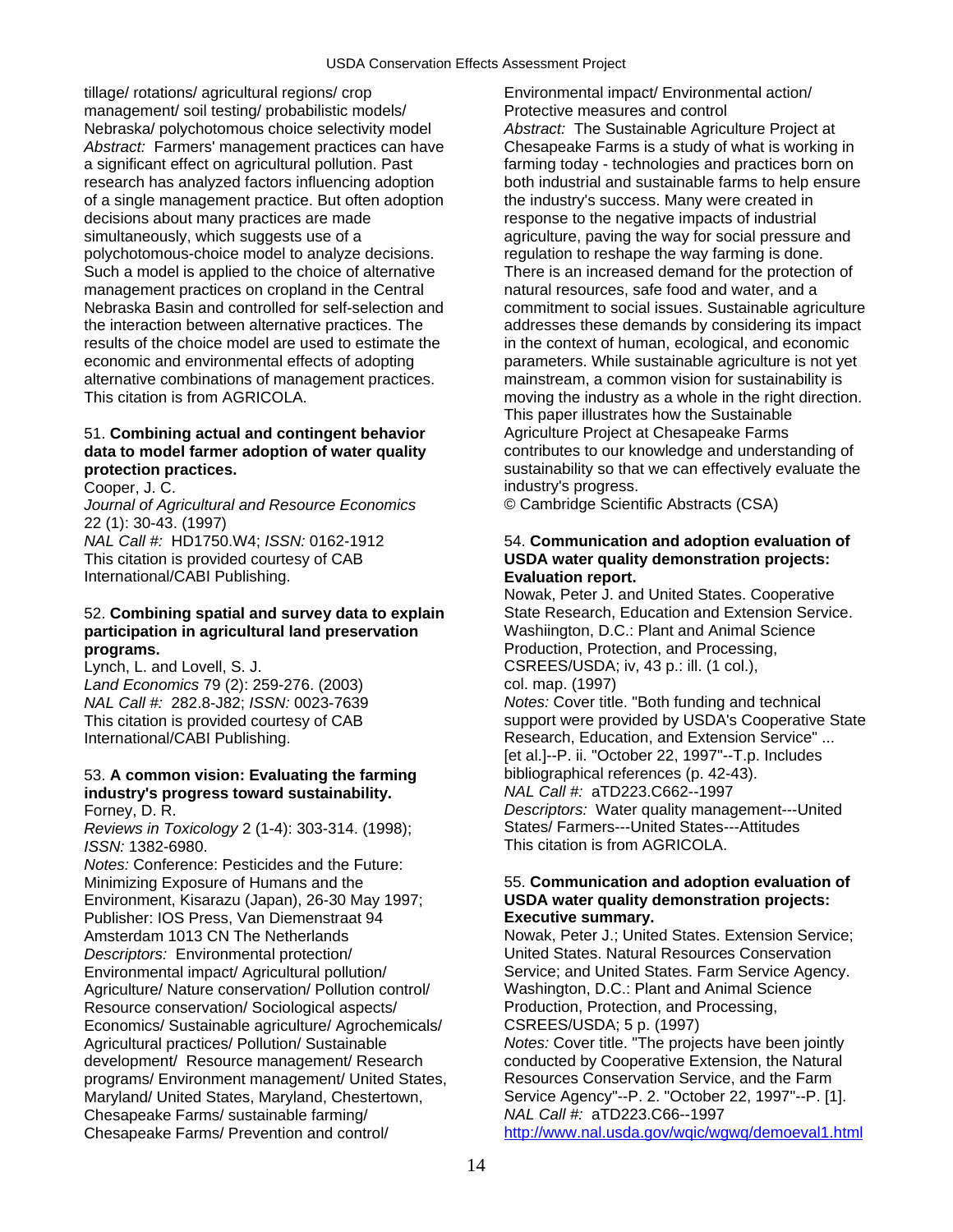tillage/ rotations/ agricultural regions/ crop Environmental impact/ Environmental action/ management/ soil testing/ probabilistic models/<br>
Nebraska/ polychotomous choice selectivity model<br>
Abstract: The Sustainable Agriculture Project at Nebraska/ polychotomous choice selectivity model Abstract: Farmers' management practices can have Chesapeake Farms is a study of what is working in a significant effect on agricultural pollution. Past farming today - technologies and practices born on research has analyzed factors influencing adoption both industrial and sustainable farms to help ensure of a single management practice. But often adoption the industry's success. Many were created in decisions about many practices are made response to the negative impacts of industrial simultaneously, which suggests use of a and agriculture, paving the way for social pressure and polychotomous-choice model to analyze decisions. regulation to reshape the way farming is done. Such a model is applied to the choice of alternative There is an increased demand for the protection of management practices on cropland in the Central natural resources, safe food and water, and a Nebraska Basin and controlled for self-selection and commitment to social issues. Sustainable agriculture the interaction between alternative practices. The addresses these demands by considering its impact<br>results of the choice model are used to estimate the in the context of human, ecological, and economic results of the choice model are used to estimate the economic and environmental effects of adopting parameters. While sustainable agriculture is not yet alternative combinations of management practices. mainstream, a common vision for sustainability is This citation is from AGRICOLA. This citation is from AGRICOLA. This citation is from AGRICOLA.

## 51. **Combining actual and contingent behavior** Agriculture Project at Chesapeake Farms

*Journal of Agricultural and Resource Economics* © Cambridge Scientific Abstracts (CSA) 22 (1): 30-43. (1997)<br>NAL Call #: HD1750.W4; ISSN: 0162-1912 This citation is provided courtesy of CAB **USDA water quality demonstration projects:**  International/CABI Publishing. **Evaluation report.** 

## 52. **Combining spatial and survey data to explain** State Research, Education and Extension Service. **participation in agricultural land preservation** Washiington, D.C.: Plant and Animal Science **programs.** Production, Protection, and Processing,

Lynch, L. and Lovell, S. J. CSREES/USDA; iv, 43 p.: ill. (1 col.), *Land Economics* 79 (2): 259-276. (2003) col. map. (1997)

## 53. **A common vision: Evaluating the farming** bibliographical references (p. 42-43).<br> **industry's progress toward sustainability.** MAL Call #: aTD223.C662--1997 industry's progress toward sustainability.

*Reviews in Toxicology* 2 (1-4): 303-314. (1998); *ISSN:* 1382-6980. This citation is from AGRICOLA.

*Notes:* Conference: Pesticides and the Future: Minimizing Exposure of Humans and the 55. **Communication and adoption evaluation of**  Environment, Kisarazu (Japan), 26-30 May 1997; **USDA water quality demonstration projects:**  Publisher: IOS Press, Van Diemenstraat 94 **Executive summary.**  Amsterdam 1013 CN The Netherlands Nowak, Peter J.; United States. Extension Service; *Descriptors:* Environmental protection/ United States. Natural Resources Conservation Environmental impact/ Agricultural pollution/ Service; and United States. Farm Service Agency.<br>
Agriculture/ Nature conservation/ Pollution control/ Washington, D.C.: Plant and Animal Science Agriculture/ Nature conservation/ Pollution control/ Resource conservation/ Sociological aspects/ Production, Protection, and Processing, Economics/ Sustainable agriculture/ Agrochemicals/ CSREES/USDA; 5 p. (1997)<br>Agricultural practices/ Pollution/ Sustainable Motes: Cover title. "The proje development/ Resource management/ Research conducted by Cooperative Extension, the Natura<br>programs/ Environment management/ United States, Resources Conservation Service, and the Farm programs/ Environment management/ United States, Maryland/ United States, Maryland, Chestertown, Service Agency"--P. 2. "October 22, 1997"--P. [1]. Chesapeake Farms/ sustainable farming/ *NAL Call #:* aTD223.C66--1997 Chesapeake Farms/ Prevention and control/ <http://www.nal.usda.gov/wqic/wgwq/demoeval1.html>

This paper illustrates how the Sustainable **data to model farmer adoption of water quality** contributes to our knowledge and understanding of **protection practices. protection practices. sustainability so that we can effectively evaluate the** Cooper, J. C. industry's progress.

## 54. Communication and adoption evaluation of

Nowak, Peter J. and United States. Cooperative *NAL Call #:* 282.8-J82; *ISSN:* 0023-7639 *Notes:* Cover title. "Both funding and technical This citation is provided courtesy of CAB support were provided by USDA's Cooperative State International/CABI Publishing. The state of the Research, Education, and Extension Service" ... [et al.]--P. ii. "October 22, 1997"--T.p. Includes Forney, D. R. *Descriptors:* Water quality management---United

Notes: Cover title. "The projects have been jointly conducted by Cooperative Extension, the Natural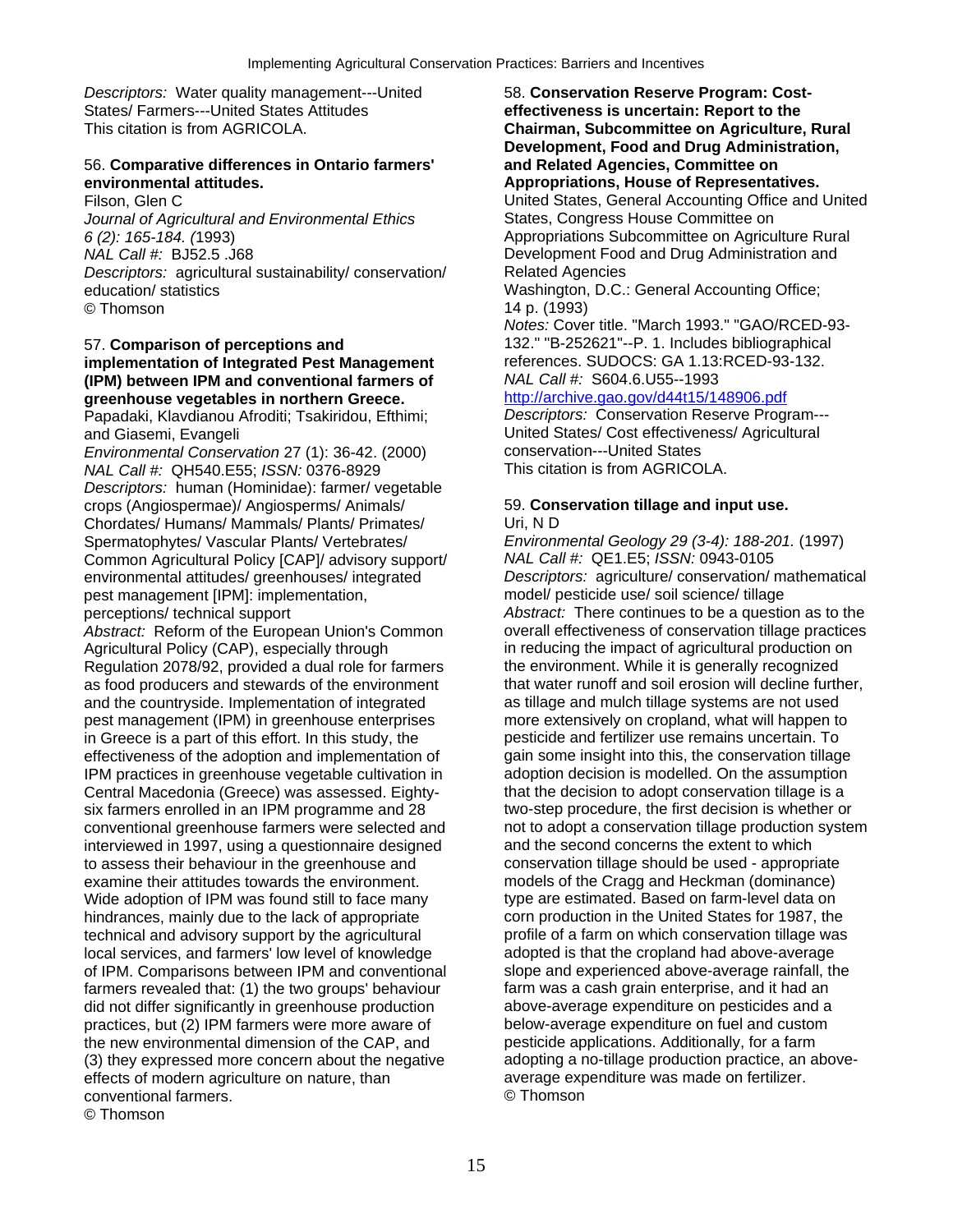**Descriptors: Water quality management---United 68. Conservation Reserve Program: Cost-**States/ Farmers---United States Attitudes **effectiveness is uncertain: Report to the** 

## 56. **Comparative differences in Ontario farmers' and Related Agencies, Committee on environmental attitudes. Appropriations, House of Representatives.**

*Journal of Agricultural and Environmental Ethics* States, Congress House Committee on *6 (2): 165-184. (*1993) Appropriations Subcommittee on Agriculture Rural *Descriptors:* agricultural sustainability/ conservation/ Related Agencies education/ statistics Washington, D.C.: General Accounting Office; © Thomson 14 p. (1993)

## **implementation of Integrated Pest Management** references. SUDOCS: GA 1.13:<br>**IPM)** between IPM and conventional farmers of *NAL Call #:* S604.6.U55--1993 **(IPM) between IPM and conventional farmers of** *NAL Call #:* S604.6.U55--1993 **greenhouse vegetables in northern Greece. <http://archive.gao.gov/d44t15/148906.pdf>**<br>Papadaki, Klavdianou Afroditi; Tsakiridou. Efthimi: *Descriptors: C*onservation Reserve Program---

Papadaki, Klavdianou Afroditi; Tsakiridou, Efthimi;

*Environmental Conservation* 27 (1): 36-42. (2000) conservation---United States *NAL Call #: QH540.E55; ISSN: 0376-8929 Descriptors:* human (Hominidae): farmer/ vegetable crops (Angiospermae)/ Angiosperms/ Animals/ 59. **Conservation tillage and input use.**  Chordates/ Humans/ Mammals/ Plants/ Primates/ Uri, N D<br>Spermatophytes/ Vascular Plants/ Vertebrates/ Environr Common Agricultural Policy [CAP]/ advisory support/ *NAL Call #:* QE1.E5; *ISSN:* 0943-0105 environmental attitudes/ greenhouses/ integrated *Descriptors:* agriculture/ conservation/ mathematical pest management [IPM]: implementation, perceptions/ technical support *Abstract:* There continues to be a question as to the

*Abstract:* Reform of the European Union's Common overall effectiveness of conservation tillage practices<br>Agricultural Policy (CAP), especially through in reducing the impact of agricultural production on Agricultural Policy (CAP), especially through in reducing the impact of agricultural production on Regulation 2078/92, provided a dual role for farmers the environment. While it is generally recognized Regulation 2078/92, provided a dual role for farmers the environment. While it is generally recognized<br>as food producers and stewards of the environment that water runoff and soil erosion will decline further, as food producers and stewards of the environment and the countryside. Implementation of integrated as tillage and mulch tillage systems are not used pest management (IPM) in greenhouse enterprises more extensively on cropland, what will happen to in Greece is a part of this effort. In this study, the pesticide and fertilizer use remains uncertain. To effectiveness of the adoption and implementation of agin some insight into this, the conservation tillage effectiveness of the adoption and implementation of IPM practices in greenhouse vegetable cultivation in adoption decision is modelled. On the assumption Central Macedonia (Greece) was assessed. Eighty-<br>that the decision to adopt conservation tillage is a six farmers enrolled in an IPM programme and 28 two-step procedure, the first decision is whether or interviewed in 1997, using a questionnaire designed and the second concerns the extent to which<br>to assess their behaviour in the greenhouse and conservation tillage should be used - appropriate to assess their behaviour in the greenhouse and examine their attitudes towards the environment. models of the Cragg and Heckman (dominance) Wide adoption of IPM was found still to face many type are estimated. Based on farm-level data on<br>hindrances, mainly due to the lack of appropriate corn production in the United States for 1987, the hindrances, mainly due to the lack of appropriate corn production in the United States for 1987, the<br>technical and advisory support by the agricultural profile of a farm on which conservation tillage was technical and advisory support by the agricultural local services, and farmers' low level of knowledge adopted is that the cropland had above-average of IPM. Comparisons between IPM and conventional slope and experienced above-average rainfall, the of IPM. Comparisons between IPM and conventional farmers revealed that: (1) the two groups' behaviour farm was a cash grain enterprise, and it had an did not differ significantly in greenhouse production above-average expenditure on pesticides and a<br>
practices, but (2) IPM farmers were more aware of below-average expenditure on fuel and custom practices, but (2) IPM farmers were more aware of the new environmental dimension of the CAP, and pesticide applications. Additionally, for a farm (3) they expressed more concern about the negative adopting a no-tillage production practice, an above-<br>effects of modern agriculture on nature, than all all average expenditure was made on fertilizer. effects of modern agriculture on nature, than average expenditure on fertilization and fertilizer.<br>
average expenditure on fertilization on the fertilization of the material on fertilization on the conventional conventional farmers. © Thomson

**Chairman, Subcommittee on Agriculture, Rural Development, Food and Drug Administration,**  Filson, Glen C United States, General Accounting Office and United Development Food and Drug Administration and

*Notes:* Cover title. "March 1993." "GAO/RCED-93- 57. **Comparison of perceptions and** 132." "B-252621"--P. 1. Includes bibliographical

and Giasemi, Evangeli United States/ Cost effectiveness/ Agricultural<br>
Forginantial Conservation 27 (1): 36-42 (2000) conservation---United States

Environmental Geology 29 (3-4): 188-201. **(1997)** conventional greenhouse farmers were selected and not to adopt a conservation tillage production system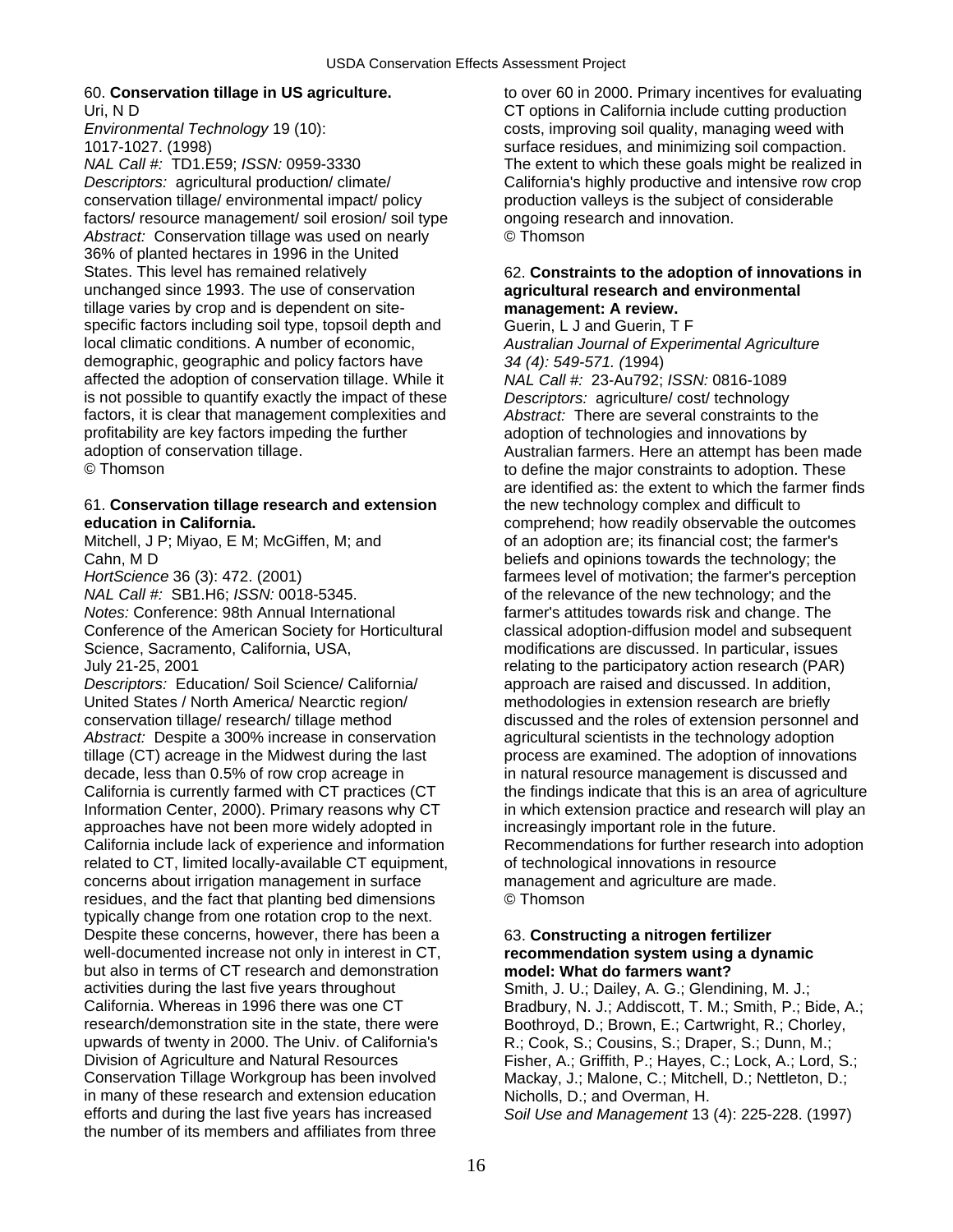*NAL Call #:* TD1.E59; *ISSN:* 0959-3330 The extent to which these goals might be realized in *Descriptors:* agricultural production/ climate/ California's highly productive and intensive row crop conservation tillage/ environmental impact/ policy production valleys is the subject of considerable factors/ resource management/ soil erosion/ soil type ongoing research and innovation. Abstract: Conservation tillage was used on nearly **C** Thomson 36% of planted hectares in 1996 in the United States. This level has remained relatively **62. Constraints to the adoption of innovations in** unchanged since 1993. The use of conservation **agricultural research and environmental**  tillage varies by crop and is dependent on site- **management: A review.**  specific factors including soil type, topsoil depth and Guerin, L J and Guerin, T F local climatic conditions. A number of economic, *Australian Journal of Experimental Agriculture* demographic, geographic and policy factors have *34 (4): 549-571. (*1994) affected the adoption of conservation tillage. While it *NAL Call #:* 23-Au792; *ISSN:* 0816-1089 is not possible to quantify exactly the impact of these *Descriptors:* agriculture/ cost/ technology factors, it is clear that management complexities and *Abstract:* There are several constraints to the profitability are key factors impeding the further adoption of technologies and innovations by adoption of conservation tillage. Australian farmers. Here an attempt has been made

## 61. **Conservation tillage research and extension** the new technology complex and difficult to

*HortScience* 36 (3): 472. (2001) *HortScience* 36 (3): 472. (2001) *HortScience* 36 (3): 472. (2001) *NAL Call #:* SB1.H6; *ISSN:* 0018-5345. of the relevance of the new technology; and the *Notes:* Conference: 98th Annual International farmer's attitudes towards risk and change. The Conference of the American Society for Horticultural classical adoption-diffusion model and subsequent Science, Sacramento, California, USA, modifications are discussed. In particular, issues July 21-25, 2001 relating to the participatory action research (PAR)

*Descriptors:* Education/ Soil Science/ California/ approach are raised and discussed. In addition, United States / North America/ Nearctic region/ methodologies in extension research are briefly conservation tillage/ research/ tillage method discussed and the roles of extension personnel and Abstract: Despite a 300% increase in conservation agricultural scientists in the technology adoption tillage (CT) acreage in the Midwest during the last process are examined. The adoption of innovations decade, less than 0.5% of row crop acreage in in natural resource management is discussed and approaches have not been more widely adopted in increasingly important role in the future. California include lack of experience and information Recommendations for further research into adoption related to CT, limited locally-available CT equipment, on technological innovations in resource concerns about irrigation management in surface management and agriculture are made. residues, and the fact that planting bed dimensions © Thomson typically change from one rotation crop to the next. Despite these concerns, however, there has been a 63. **Constructing a nitrogen fertilizer**  well-documented increase not only in interest in CT, **recommendation system using a dynamic**  but also in terms of CT research and demonstration **model: What do farmers want?**  activities during the last five years throughout Smith, J. U.; Dailey, A. G.; Glendining, M. J.; California. Whereas in 1996 there was one CT Bradbury, N. J.; Addiscott, T. M.; Smith, P.; Bide, A.; research/demonstration site in the state, there were Boothroyd, D.; Brown, E.; Cartwright, R.; Chorley, upwards of twenty in 2000. The Univ. of California's R.; Cook, S.; Cousins, S.; Draper, S.; Dunn, M.; upwards of twenty in 2000. The Univ. of California's Division of Agriculture and Natural Resources Fisher, A.; Griffith, P.; Hayes, C.; Lock, A.; Lord, S.; Conservation Tillage Workgroup has been involved Mackay, J.; Malone, C.; Mitchell, D.; Nettleton, D.; Conservation Tillage Workgroup has been involved in many of these research and extension education Nicholls, D.; and Overman, H. efforts and during the last five years has increased *Soil Use and Management* 13 (4): 225-228. (1997) the number of its members and affiliates from three

60. **Conservation tillage in US agriculture.** to over 60 in 2000. Primary incentives for evaluating Uri, N D<br>
CT options in California include cutting production<br>
Costs, improving soil quality, managing weed with costs, improving soil quality, managing weed with 1017-1027. (1998) surface residues, and minimizing soil compaction.

© Thomson to define the major constraints to adoption. These are identified as: the extent to which the farmer finds **education in California.**<br>
Mitchell. J P: Mivao. E M: McGiffen. M: and **the outcomes** of an adoption are; its financial cost; the farmer's of an adoption are; its financial cost; the farmer's Cahn, M D beliefs and opinions towards the technology; the California is currently farmed with CT practices (CT the findings indicate that this is an area of agriculture Information Center, 2000). Primary reasons why CT in which extension practice and research will play an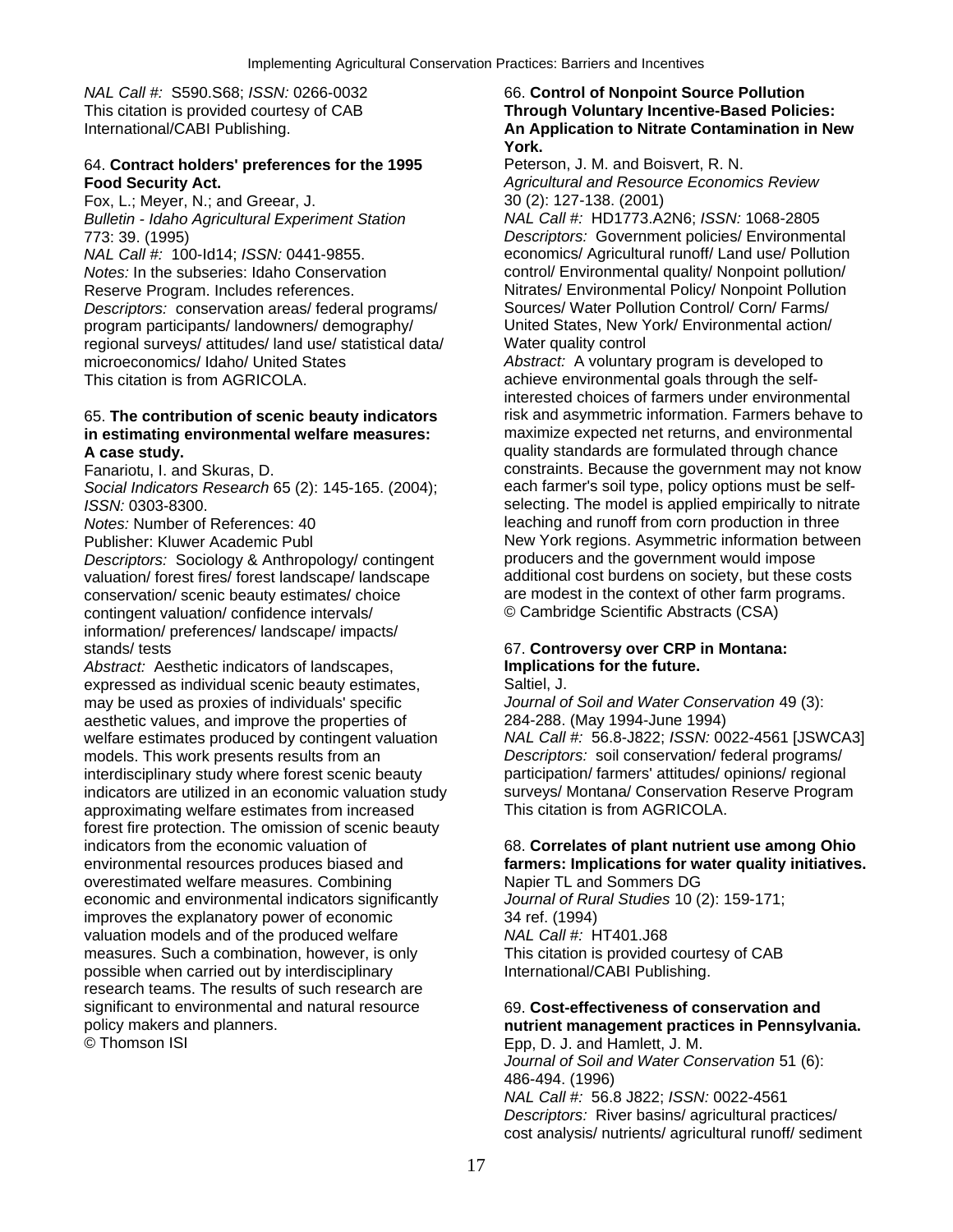## 64. **Contract holders' preferences for the 1995** Peterson, J. M. and Boisvert, R. N. **Food Security Act.** *Agricultural and Resource Economics Review*

Fox, L.; Meyer, N.; and Greear, J. 30 (2): 127-138. (2001) *Bulletin - Idaho Agricultural Experiment Station NAL Call #:* HD1773.A2N6; *ISSN:* 1068-2805

*Notes:* In the subseries: Idaho Conservation control/ Environmental quality/ Nonpoint pollution/ Reserve Program. Includes references. Nitrates/ Environmental Policy/ Nonpoint Pollution<br>
Descriptors: conservation areas/ federal programs/ Sources/ Water Pollution Control/ Corn/ Farms/ *Descriptors:* conservation areas/ federal programs/ program participants/ landowners/ demography/ United States, New York/ Environmental action/ regional surveys/ attitudes/ land use/ statistical data/ Water quality control microeconomics/ Idaho/ United States *Abstract:* A voluntary program is developed to This citation is from AGRICOLA. This citation is from AGRICOLA.

## in estimating environmental welfare measures:

*Social Indicators Research* 65 (2): 145-165. (2004);

valuation/ forest fires/ forest landscape/ landscape conservation/ scenic beauty estimates/ choice are modest in the context of other farm programs. contingent valuation/ confidence intervals/ © Cambridge Scientific Abstracts (CSA) information/ preferences/ landscape/ impacts/

*Abstract:* Aesthetic indicators of landscapes, expressed as individual scenic beauty estimates, Saltiel, J.<br>
may be used as proxies of individuals' specific *Journal of Soil and Water Conservation* 49 (3): may be used as proxies of individuals' specific aesthetic values, and improve the properties of 284-288. (May 1994-June 1994) models. This work presents results from an *Descriptors:* soil conservation/ federal programs/ interdisciplinary study where forest scenic beauty participation/ farmers' attitudes/ opinions/ regional indicators are utilized in an economic valuation study surveys/ Montana/ Conservation Reserve Program<br>approximating welfare estimates from increased This citation is from AGRICOLA. approximating welfare estimates from increased forest fire protection. The omission of scenic beauty indicators from the economic valuation of 68. **Correlates of plant nutrient use among Ohio**  overestimated welfare measures. Combining Napier TL and Sommers DG economic and environmental indicators significantly *Journal of Rural Studies* 10 (2): 159-171; improves the explanatory power of economic 34 ref. (1994) valuation models and of the produced welfare *NAL Call #:* HT401.J68 measures. Such a combination, however, is only This citation is provided courtesy of CAB possible when carried out by interdisciplinary **International** International CABI Publishing. research teams. The results of such research are significant to environmental and natural resource 69. **Cost-effectiveness of conservation and**  policy makers and planners.<br>
© Thomson ISI and Hamlett, J. M. **nutrient management practices in Pennsylvania.**<br>
Epp. D. J. and Hamlett, J. M.

## *NAL Call #:* S590.S68; *ISSN:* 0266-0032 66. **Control of Nonpoint Source Pollution**  This citation is provided courtesy of CAB **Through Voluntary Incentive-Based Policies:**  International/CABI Publishing. **An Application to Nitrate Contamination in New** *An Application to Nitrate Contamination in New* **York.**

773: 39. (1995) *Descriptors:* Government policies/ Environmental *NAL Call #:* 100-Id14; *ISSN:* 0441-9855. economics/ Agricultural runoff/ Land use/ Pollution

interested choices of farmers under environmental 65. **The contribution of scenic beauty indicators** risk and asymmetric information. Farmers behave to **A case study.**<br> **A case study.**<br>
Fanariotu, I. and Skuras, D.<br> **A case study.**<br> **A case study.**<br> **A** constraints. Because the government may not kn constraints. Because the government may not know<br>each farmer's soil type, policy options must be self-*ISSN:* 0303-8300. **ISSN:** 0303-8300. *Notes:* Number of References: 40 leaching and runoff from corn production in three Publisher: Kluwer Academic Publ<br>
Descriptors: Sociology & Anthropology/contingent<br>
Descriptors: Sociology & Anthropology/contingent<br>
producers and the government would impose *Descriptors:* Sociology & Anthropology/ contingent producers and the government would impose<br>
valuation/ forest fires/ forest landscape/ landscape additional cost burdens on society, but these costs

## stands/ tests 67. **Controversy over CRP in Montana:**

welfare estimates produced by contingent valuation *NAL Call #:* 56.8-J822; *ISSN:* 0022-4561 [JSWCA3]

## environmental resources produces biased and **farmers: Implications for water quality initiatives.**

## Epp, D. J. and Hamlett, J. M.

*Journal of Soil and Water Conservation* 51 (6): 486-494. (1996) *NAL Call #:* 56.8 J822; *ISSN:* 0022-4561 *Descriptors:* River basins/ agricultural practices/ cost analysis/ nutrients/ agricultural runoff/ sediment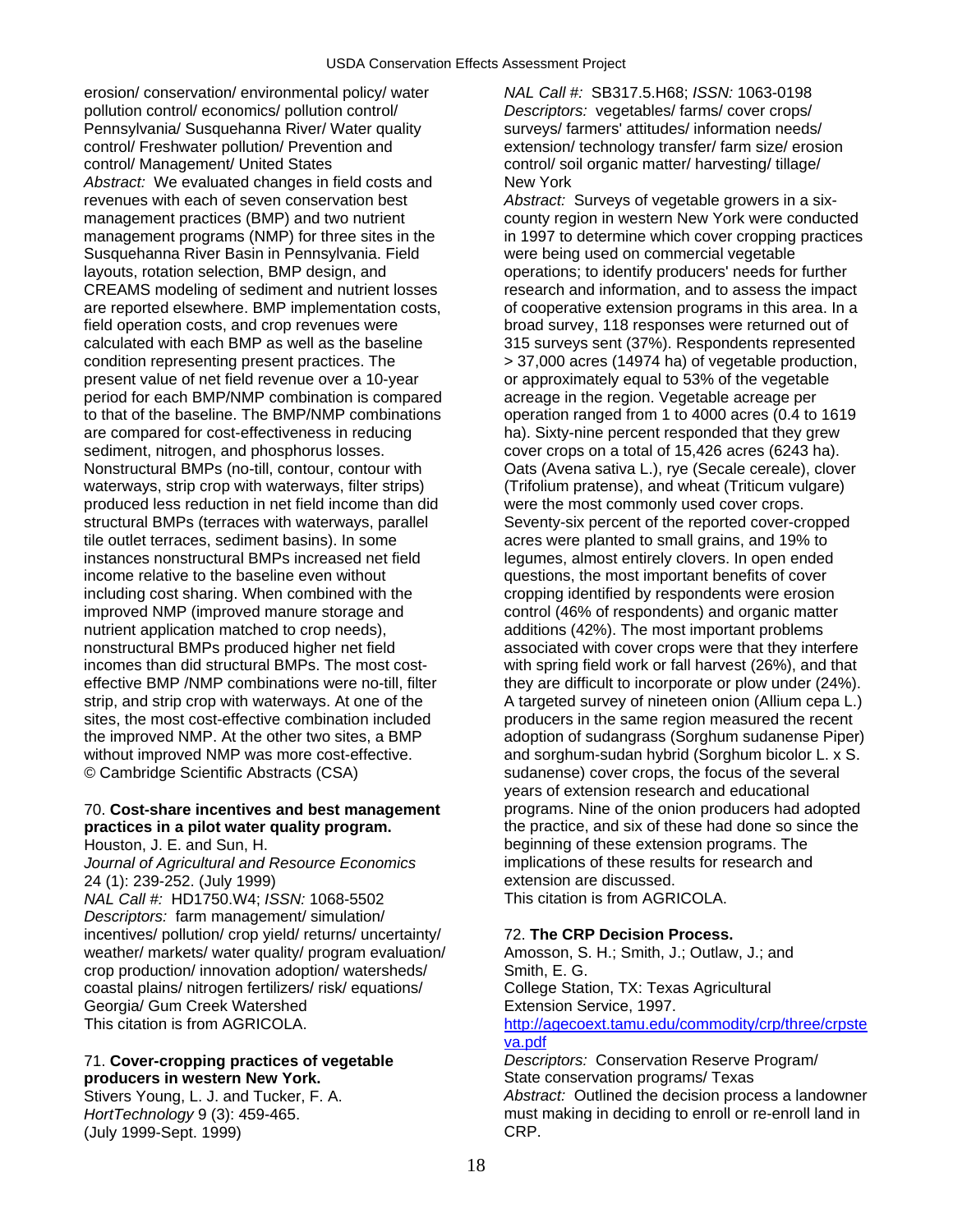erosion/ conservation/ environmental policy/ water *NAL Call #:* SB317.5.H68; *ISSN:* 1063-0198 pollution control/ economics/ pollution control/ *Descriptors:* vegetables/ farms/ cover crops/ Pennsylvania/ Susquehanna River/ Water quality surveys/ farmers' attitudes/ information needs/ control/ Freshwater pollution/ Prevention and extension/ technology transfer/ farm size/ erosion control/ Management/ United States control/ soil organic matter/ harvesting/ tillage/ Abstract: We evaluated changes in field costs and New York revenues with each of seven conservation best *Abstract:* Surveys of vegetable growers in a sixmanagement practices (BMP) and two nutrient county region in western New York were conducted management programs (NMP) for three sites in the in 1997 to determine which cover cropping practices Susquehanna River Basin in Pennsylvania. Field were being used on commercial vegetable layouts, rotation selection, BMP design, and operations; to identify producers' needs for further<br>CREAMS modeling of sediment and nutrient losses research and information, and to assess the impac are reported elsewhere. BMP implementation costs, only cooperative extension programs in this area. In a field operation costs, and crop revenues were broad survey, 118 responses were returned out of calculated with each BMP as well as the baseline 315 surveys sent (37%). Respondents represented condition representing present practices. The > 37,000 acres (14974 ha) of vegetable production, present value of net field revenue over a 10-year or approximately equal to 53% of the vegetable period for each BMP/NMP combination is compared acreage in the region. Vegetable acreage per to that of the baseline. The BMP/NMP combinations operation ranged from 1 to 4000 acres (0.4 to 1619 are compared for cost-effectiveness in reducing ha). Sixty-nine percent responded that they grew sediment, nitrogen, and phosphorus losses. cover crops on a total of 15,426 acres (6243 ha). Nonstructural BMPs (no-till, contour, contour with Oats (Avena sativa L.), rye (Secale cereale), clover waterways, strip crop with waterways, filter strips) (Trifolium pratense), and wheat (Triticum vulgare) produced less reduction in net field income than did were the most commonly used cover crops. structural BMPs (terraces with waterways, parallel Seventy-six percent of the reported cover-cropped tile outlet terraces, sediment basins). In some acres were planted to small grains, and 19% to instances nonstructural BMPs increased net field legumes, almost entirely clovers. In open ended income relative to the baseline even without questions, the most important benefits of cover including cost sharing. When combined with the cropping identified by respondents were erosion improved NMP (improved manure storage and control (46% of respondents) and organic matter nutrient application matched to crop needs), additions (42%). The most important problems nonstructural BMPs produced higher net field associated with cover crops were that they interfere incomes than did structural BMPs. The most cost- with spring field work or fall harvest (26%), and that effective BMP /NMP combinations were no-till, filter they are difficult to incorporate or plow under (24%). strip, and strip crop with waterways. At one of the A targeted survey of nineteen onion (Allium cepa L.) sites, the most cost-effective combination included producers in the same region measured the recent the improved NMP. At the other two sites, a BMP adoption of sudangrass (Sorghum sudanense Piper) without improved NMP was more cost-effective. and sorghum-sudan hybrid (Sorghum bicolor L. x S. © Cambridge Scientific Abstracts (CSA) sudanense) cover crops, the focus of the several

## 70. **Cost-share incentives and best management** programs. Nine of the onion producers had adopted **practices in a pilot water quality program. the practice, and six of these had done so since the**

*Journal of Agricultural and Resource Economics* implications of these results for research and<br>24 (1): 239-252 (July 1999)<br>component extension are discussed. 24 (1): 239-252. (July 1999) extension are discussed.<br>
NAL Call #: HD1750 W4: ISSN: 1068-5502 This citation is from AGRICOLA. *NAL Call #: HD1750.W4; ISSN: 1068-5502 Descriptors:* farm management/ simulation/ incentives/ pollution/ crop yield/ returns/ uncertainty/ 72. **The CRP Decision Process.**  weather/ markets/ water quality/ program evaluation/ Amosson, S. H.; Smith, J.; Outlaw, J.; and crop production/ innovation adoption/ watersheds/ Smith, E. G. coastal plains/ nitrogen fertilizers/ risk/ equations/ College Station, TX: Texas Agricultural Georgia/ Gum Creek Watershed **Extension Service, 1997.**<br>This citation is from AGRICOLA. This citation is from AGRICOLA.

## producers in western New York.

Stivers Young, L. J. and Tucker, F. A. *Abstract:* Outlined the decision process a landowner *HortTechnology* 9 (3): 459-465. must making in deciding to enroll or re-enroll land in (July 1999-Sept. 1999) (July 1999-Sept. 1999)

research and information, and to assess the impact years of extension research and educational Houston, J. E. and Sun, H. beginning of these extension programs. The

[http://agecoext.tamu.edu/commodity/crp/three/crpste](http://agecoext.tamu.edu/commodity/crp/three/crpsteva.pdf) [va.pdf](http://agecoext.tamu.edu/commodity/crp/three/crpsteva.pdf) 71. **Cover-cropping practices of vegetable** *Descriptors:* Conservation Reserve Program/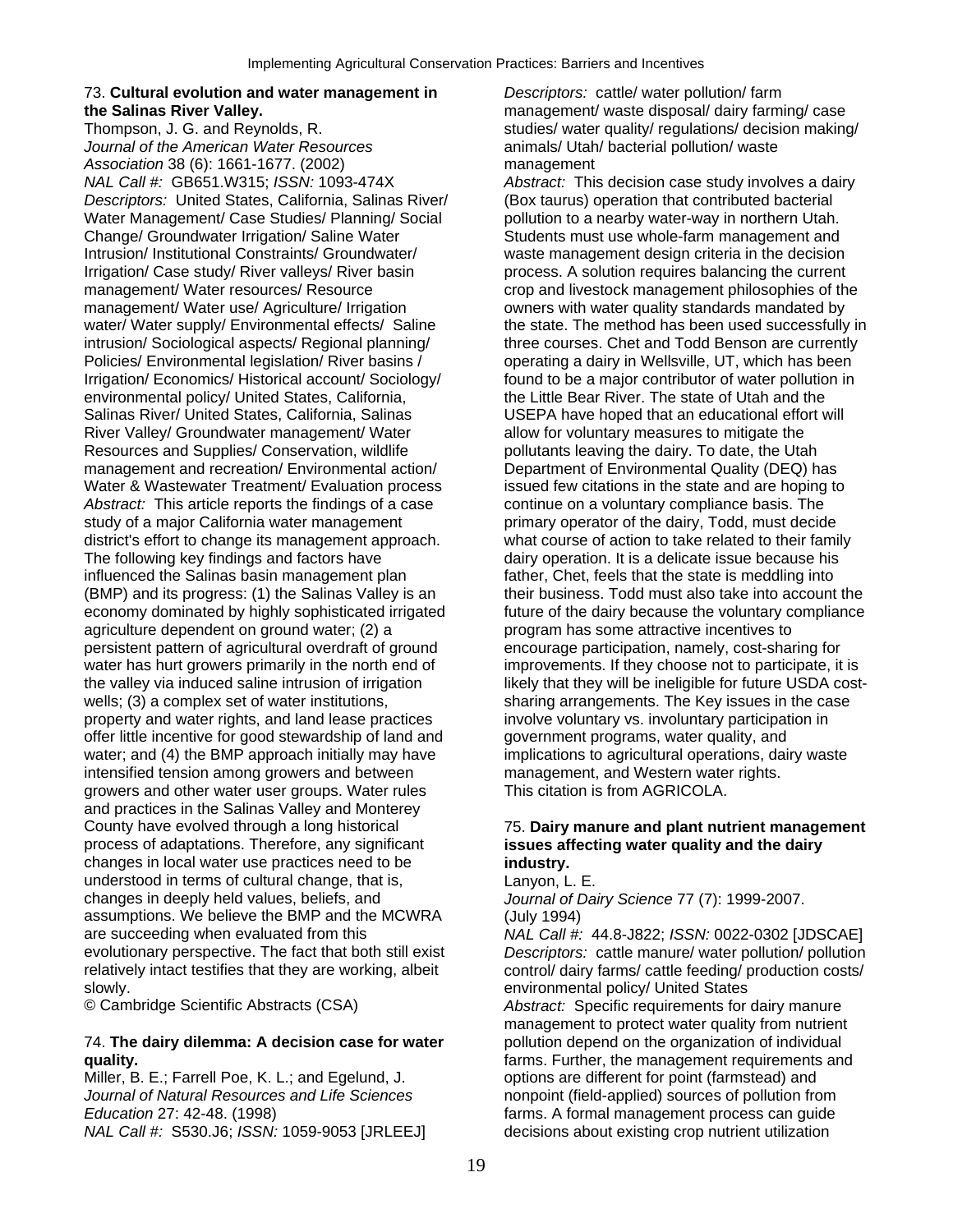## 73. **Cultural evolution and water management in** *Descriptors:* cattle/ water pollution/ farm

*Journal of the American Water Resources* animals/ Utah/ bacterial pollution/ waste Association 38 (6): 1661-1677. (2002)<br>*NAL Call #:* GB651.W315; *ISSN:* 1093-474X *Abstract:* This *Descriptors:* United States, California, Salinas River/ (Box taurus) operation that contributed bacterial Water Management/ Case Studies/ Planning/ Social pollution to a nearby water-way in northern Utah. Change/ Groundwater Irrigation/ Saline Water Students must use whole-farm management and Intrusion/ Institutional Constraints/ Groundwater/ waste management design criteria in the decision Irrigation/ Case study/ River valleys/ River basin process. A solution requires balancing the current management/ Water resources/ Resource crop and livestock management philosophies of the management/ Water use/ Agriculture/ Irrigation owners with water quality standards mandated by water/ Water supply/ Environmental effects/ Saline the state. The method has been used successfully in intrusion/ Sociological aspects/ Regional planning/ three courses. Chet and Todd Benson are currently Policies/ Environmental legislation/ River basins / operating a dairy in Wellsville, UT, which has been Irrigation/ Economics/ Historical account/ Sociology/ found to be a major contributor of water pollution in environmental policy/ United States, California, the Little Bear River. The state of Utah and the Salinas River/ United States, California, Salinas USEPA have hoped that an educational effort will River Valley/ Groundwater management/ Water allow for voluntary measures to mitigate the Resources and Supplies/ Conservation, wildlife pollutants leaving the dairy. To date, the Utah management and recreation/ Environmental action/ Department of Environmental Quality (DEQ) has Water & Wastewater Treatment/ Evaluation process issued few citations in the state and are hoping to Abstract: This article reports the findings of a case continue on a voluntary compliance basis. The study of a major California water management primary operator of the dairy, Todd, must decide district's effort to change its management approach. what course of action to take related to their family The following key findings and factors have dairy operation. It is a delicate issue because his influenced the Salinas basin management plan father, Chet, feels that the state is meddling into (BMP) and its progress: (1) the Salinas Valley is an their business. Todd must also take into account the economy dominated by highly sophisticated irrigated future of the dairy because the voluntary compliance agriculture dependent on ground water; (2) a program has some attractive incentives to persistent pattern of agricultural overdraft of ground encourage participation, namely, cost-sharing for water has hurt growers primarily in the north end of improvements. If they choose not to participate, it is the valley via induced saline intrusion of irrigation likely that they will be ineligible for future USDA costwells; (3) a complex set of water institutions, sharing arrangements. The Key issues in the case property and water rights, and land lease practices involve voluntary vs. involuntary participation in offer little incentive for good stewardship of land and government programs, water quality, and water; and (4) the BMP approach initially may have implications to agricultural operations, dairy waste intensified tension among growers and between management, and Western water rights. growers and other water user groups. Water rules This citation is from AGRICOLA. and practices in the Salinas Valley and Monterey County have evolved through a long historical 75. **Dairy manure and plant nutrient management**  process of adaptations. Therefore, any significant **issues affecting water quality and the dairy**  changes in local water use practices need to be **industry.**  understood in terms of cultural change, that is, Lanyon, L. E.<br>
changes in deeply held values, beliefs, and *Journal of Da* assumptions. We believe the BMP and the MCWRA (July 1994) are succeeding when evaluated from this *NAL Call #:* 44.8-J822; *ISSN:* 0022-0302 [JDSCAE] evolutionary perspective. The fact that both still exist *Descriptors:* cattle manure/ water pollution/ pollution relatively intact testifies that they are working, albeit control/ dairy farms/ cattle feeding/ production costs/ slowly. environmental policy/ United States

## 74. **The dairy dilemma: A decision case for water** pollution depend on the organization of individual **quality.** *guality diagonary <b>properties farms. Further, the management requirements and*

Miller, B. E.; Farrell Poe, K. L.; and Egelund, J. options are different for point (farmstead) and *Journal of Natural Resources and Life Sciences* nonpoint (field-applied) sources of pollution from *Education* 27: 42-48. (1998) *Education* 27: 42-48. (1998) *NAL Call #:* S530.J6; *ISSN:* 1059-9053 [JRLEEJ] decisions about existing crop nutrient utilization

**the Salinas River Valley.**<br> **Thompson, J. G. and Reynolds, R. national Studies/ water quality/ regulations/ decision making**<br>
studies/ water quality/ regulations/ decision making studies/ water quality/ regulations/ decision making/

Abstract: This decision case study involves a dairy

Journal of Dairy Science 77 (7): 1999-2007.

© Cambridge Scientific Abstracts (CSA) *Abstract:* Specific requirements for dairy manure management to protect water quality from nutrient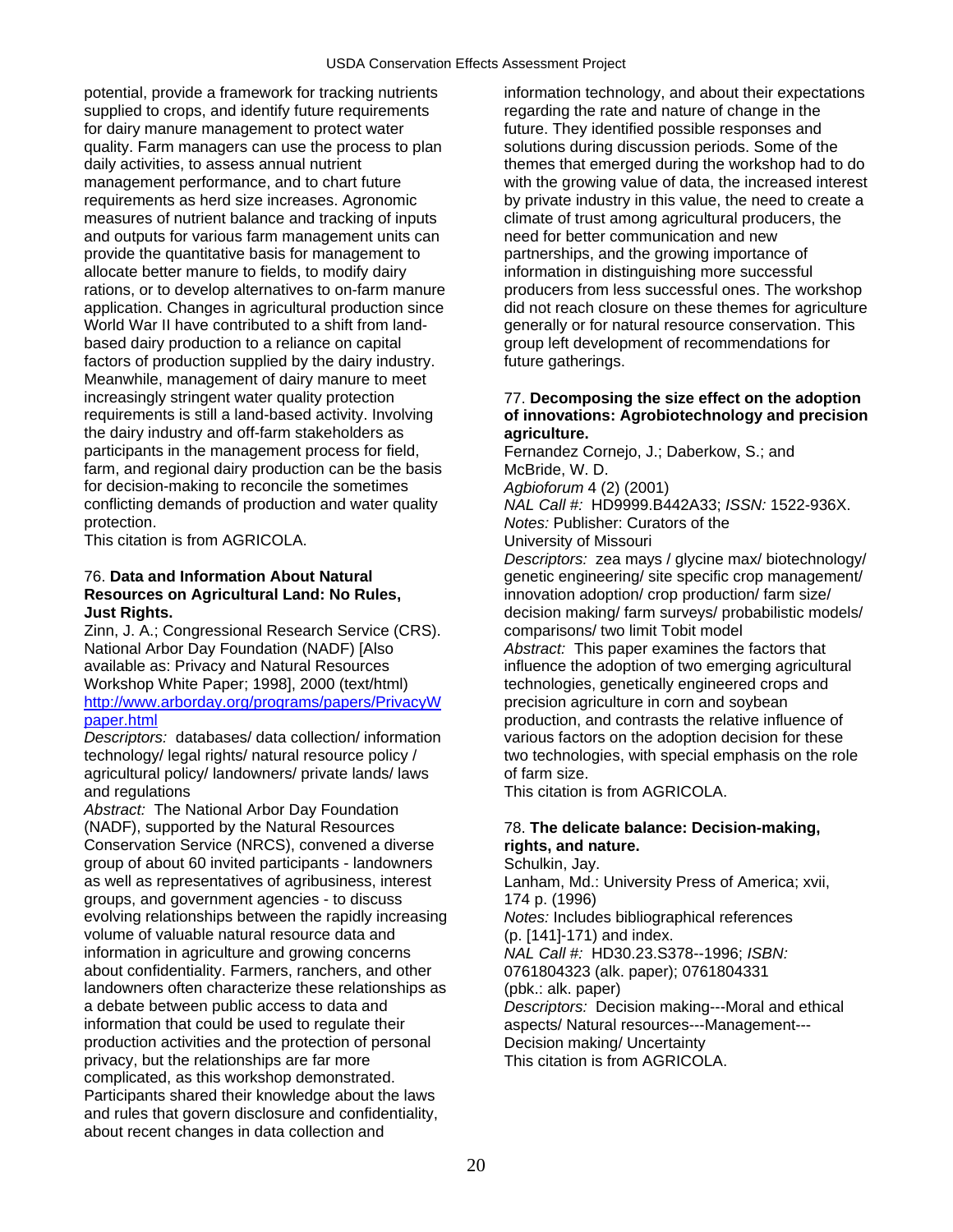potential, provide a framework for tracking nutrients information technology, and about their expectations supplied to crops, and identify future requirements regarding the rate and nature of change in the for dairy manure management to protect water future. They identified possible responses and quality. Farm managers can use the process to plan solutions during discussion periods. Some of the daily activities, to assess annual nutrient themes themes that emerged during the workshop had to do requirements as herd size increases. Agronomic by private industry in this value, the need to create a measures of nutrient balance and tracking of inputs climate of trust among agricultural producers, the and outputs for various farm management units can need for better communication and new provide the quantitative basis for management to partnerships, and the growing importance of allocate better manure to fields, to modify dairy information in distinguishing more successful rations, or to develop alternatives to on-farm manure producers from less successful ones. The workshop based dairy production to a reliance on capital group left development of recommendations for factors of production supplied by the dairy industry. **Full transfollo function** future gatherings. Meanwhile, management of dairy manure to meet increasingly stringent water quality protection 77. **Decomposing the size effect on the adoption**  the dairy industry and off-farm stakeholders as **agriculture.**  participants in the management process for field, Fernandez Cornejo, J.; Daberkow, S.; and farm, and regional dairy production can be the basis McBride, W. D. for decision-making to reconcile the sometimes *Agbioforum* 4 (2) (2001) conflicting demands of production and water quality *NAL Call #:* HD9999.B442A33; *ISSN:* 1522-936X.

This citation is from AGRICOLA. 
University of Missouri

Zinn, J. A.; Congressional Research Service (CRS). comparisons/ two limit Tobit model National Arbor Day Foundation (NADF) [Also *Abstract:* This paper examines the factors that available as: Privacy and Natural Resources influence the adoption of two emerging agricultural Workshop White Paper; 1998], 2000 (text/html) technologies, genetically engineered crops and [http://www.arborday.org/programs/papers/PrivacyW](http://www.arborday.org/programs/papers/PrivacyWpaper.html) precision agriculture in corn and soybean

*Descriptors:* databases/ data collection/ information agricultural policy/ landowners/ private lands/ laws of farm size. and regulations This citation is from AGRICOLA.

*Abstract:* The National Arbor Day Foundation (NADF), supported by the Natural Resources 78. **The delicate balance: Decision-making,**  Conservation Service (NRCS), convened a diverse **rights, and nature.**  group of about 60 invited participants - landowners Schulkin, Jay.<br>as well as representatives of agribusiness, interest Lanham, Md.: groups, and government agencies - to discuss 174 p. (1996) evolving relationships between the rapidly increasing *Notes:* Includes bibliographical references volume of valuable natural resource data and (p. [141]-171) and index. information in agriculture and growing concerns *NAL Call #:* HD30.23.S378--1996; *ISBN:* about confidentiality. Farmers, ranchers, and other 0761804323 (alk. paper); 0761804331 landowners often characterize these relationships as (pbk.: alk. paper) a debate between public access to data and *Descriptors:* Decision making---Moral and ethical information that could be used to regulate their and aspects/ Natural resources---Management--production activities and the protection of personal Decision making/ Uncertainty privacy, but the relationships are far more This citation is from AGRICOLA. complicated, as this workshop demonstrated. Participants shared their knowledge about the laws and rules that govern disclosure and confidentiality, about recent changes in data collection and

management performance, and to chart future with the growing value of data, the increased interest application. Changes in agricultural production since did not reach closure on these themes for agriculture<br>World War II have contributed to a shift from land- generally or for natural resource conservation. This generally or for natural resource conservation. This

## requirements is still a land-based activity. Involving **of innovations: Agrobiotechnology and precision**

Notes: Publisher: Curators of the

*Descriptors:* zea mays / glycine max/ biotechnology/ 76. **Data and Information About Natural** genetic engineering/ site specific crop management/ **Resources on Agricultural Land: No Rules,** innovation adoption/ crop production/ farm size/ **Just Rights. Just Rights. decision making/** farm surveys/ probabilistic models/ [paper.html](http://www.arborday.org/programs/papers/PrivacyWpaper.html)<br>Descriptors: databases/ data collection/ information<br>production, and contrasts the relative influence of<br>various factors on the adoption decision for these technology/ legal rights/ natural resource policy / two technologies, with special emphasis on the role

Lanham, Md.: University Press of America; xvii,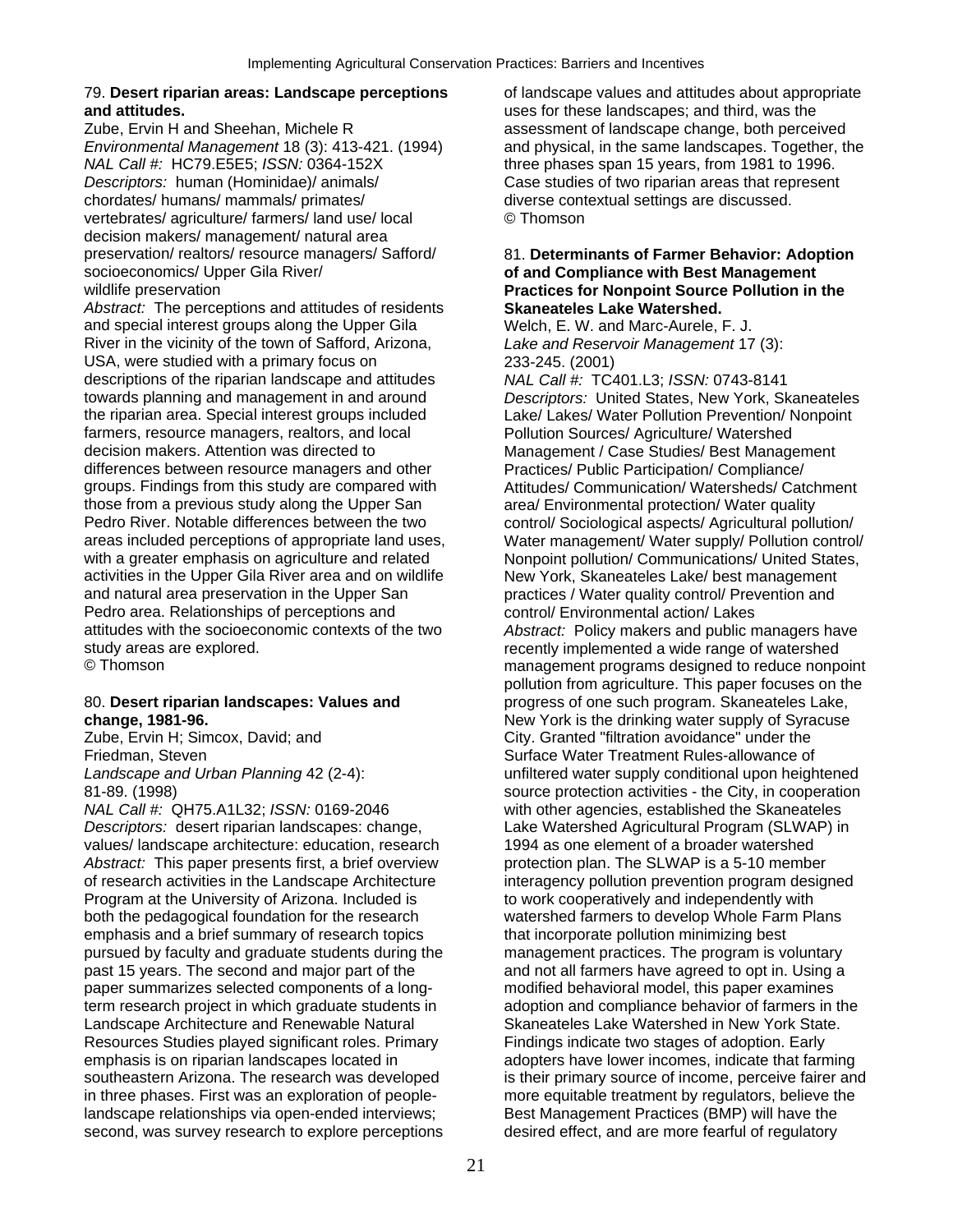## 79. **Desert riparian areas: Landscape perceptions** of landscape values and attitudes about appropriate **and attitudes.** uses for these landscapes; and third, was the

Zube, Ervin H and Sheehan, Michele R assessment of landscape change, both perceived *NAL Call #:* HC79.E5E5; *ISSN:* 0364-152X three phases span 15 years, from 1981 to 1996. *Descriptors:* human (Hominidae)/ animals/ Case studies of two riparian areas that represent chordates/ humans/ mammals/ primates/ diverse contextual settings are discussed. vertebrates/ agriculture/ farmers/ land use/ local © Thomson decision makers/ management/ natural area preservation/ realtors/ resource managers/ Safford/ 81. **Determinants of Farmer Behavior: Adoption**  socioeconomics/ Upper Gila River/ **of and Compliance with Best Management** 

*Abstract:* The perceptions and attitudes of residents **Skaneateles Lake Watershed.**  and special interest groups along the Upper Gila Welch, E. W. and Marc-Aurele, F. J. River in the vicinity of the town of Safford, Arizona, *Lake and Reservoir Management* 17 (3): USA, were studied with a primary focus on 233-245. (2001) descriptions of the riparian landscape and attitudes *NAL Call #:* TC401.L3; *ISSN:* 0743-8141 towards planning and management in and around *Descriptors:* United States, New York, Skaneateles the riparian area. Special interest groups included Lake/ Lakes/ Water Pollution Prevention/ Nonpoint farmers, resource managers, realtors, and local Pollution Sources/ Agriculture/ Watershed decision makers. Attention was directed to Management / Case Studies/ Best Management differences between resource managers and other **Practices/ Public Participation/ Compliance/** groups. Findings from this study are compared with Attitudes/ Communication/ Watersheds/ Cat those from a previous study along the Upper San area/ Environmental protection/ Water quality<br>
Pedro River, Notable differences between the two control/ Sociological aspects/ Agricultural polli areas included perceptions of appropriate land uses, Water management/ Water supply/ Pollution control/ with a greater emphasis on agriculture and related Nonpoint pollution/ Communications/ United States,<br>activities in the Upper Gila River area and on wildlife New York, Skaneateles Lake/ best management and natural area preservation in the Upper San practices / Water quality control/ Prevention and Pedro area. Relationships of perceptions and control/ Environmental action/ Lakes<br>
attitudes with the socioeconomic contexts of the two *Abstract:* Policy makers and public n study areas are explored. The recently implemented a wide range of watershed

*NAL Call #:* QH75.A1L32; *ISSN:* 0169-2046 with other agencies, established the Skaneateles *Descriptors:* desert riparian landscapes: change, Lake Watershed Agricultural Program (SLWAP) in values/ landscape architecture: education, research 1994 as one element of a broader watershed *Abstract:* This paper presents first, a brief overview protection plan. The SLWAP is a 5-10 member of research activities in the Landscape Architecture interagency pollution prevention program designed Program at the University of Arizona. Included is to work cooperatively and independently with both the pedagogical foundation for the research watershed farmers to develop Whole Farm Plans emphasis and a brief summary of research topics that incorporate pollution minimizing best pursued by faculty and graduate students during the management practices. The program is voluntary past 15 years. The second and major part of the and not all farmers have agreed to opt in. Using a paper summarizes selected components of a long- modified behavioral model, this paper examines term research project in which graduate students in adoption and compliance behavior of farmers in the Landscape Architecture and Renewable Natural Skaneateles Lake Watershed in New York State. Resources Studies played significant roles. Primary Findings indicate two stages of adoption. Early emphasis is on riparian landscapes located in adopters have lower incomes, indicate that farming in three phases. First was an exploration of people- more equitable treatment by regulators, believe the landscape relationships via open-ended interviews; Best Management Practices (BMP) will have the second, was survey research to explore perceptions desired effect, and are more fearful of regulatory

*Environmental Management* 18 (3): 413-421. (1994) and physical, in the same landscapes. Together, the

## wildlife preservation **Practices for Nonpoint Source Pollution in the**

Attitudes/ Communication/ Watersheds/ Catchment control/ Sociological aspects/ Agricultural pollution/ New York, Skaneateles Lake/ best management Abstract: Policy makers and public managers have © Thomson management programs designed to reduce nonpoint pollution from agriculture. This paper focuses on the 80. **Desert riparian landscapes: Values and** progress of one such program. Skaneateles Lake, **change, 1981-96. change, 1981-96. change, 1981-96. New York is the drinking water supply of Syracuse** *City.* Granted "filtration avoidance" under the City. Granted "filtration avoidance" under the Friedman, Steven Surface Water Treatment Rules-allowance of *Landscape and Urban Planning* 42 (2-4): unfiltered water supply conditional upon heightened 81-89. (1998) source protection activities - the City, in cooperation southeastern Arizona. The research was developed is their primary source of income, perceive fairer and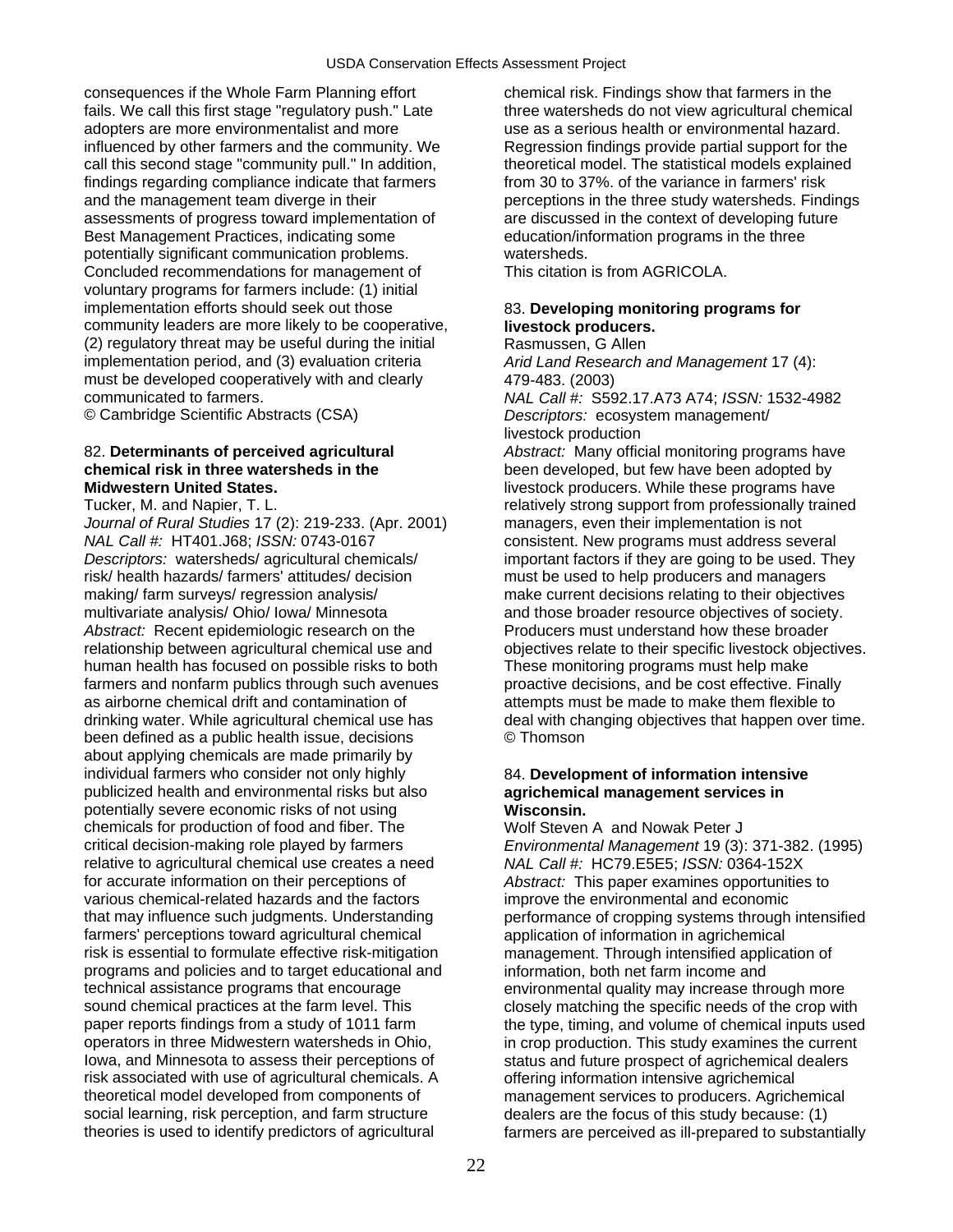consequences if the Whole Farm Planning effort chemical risk. Findings show that farmers in the fails. We call this first stage "regulatory push." Late three watersheds do not view agricultural chemical adopters are more environmentalist and more use as a serious health or environmental hazard. influenced by other farmers and the community. We Regression findings provide partial support for the call this second stage "community pull." In addition, theoretical model. The statistical models explained findings regarding compliance indicate that farmers from 30 to 37%. of the variance in farmers' risk and the management team diverge in their perceptions in the three study watersheds. Findings assessments of progress toward implementation of are discussed in the context of developing future Best Management Practices, indicating some education/information programs in the three potentially significant communication problems. watersheds. Concluded recommendations for management of This citation is from AGRICOLA. voluntary programs for farmers include: (1) initial implementation efforts should seek out those 83. **Developing monitoring programs for**  community leaders are more likely to be cooperative, **livestock producers.**  (2) regulatory threat may be useful during the initial Rasmussen, G Allen implementation period, and (3) evaluation criteria *Arid Land Research and Management* 17 (4): must be developed cooperatively with and clearly 479-483. (2003) communicated to farmers. *NAL Call #:* S592.17.A73 A74; *ISSN:* 1532-4982

© Cambridge Scientific Abstracts (CSA) *Descriptors:* ecosystem management/

*Journal of Rural Studies* 17 (2): 219-233. (Apr. 2001) managers, even their implementation is not *Descriptors:* watersheds/ agricultural chemicals/ important factors if they are going to be used. They risk/ health hazards/ farmers' attitudes/ decision must be used to help producers and managers making/ farm surveys/ regression analysis/ make current decisions relating to their objectives multivariate analysis/ Ohio/ Iowa/ Minnesota and those broader resource objectives of society. *Abstract:* Recent epidemiologic research on the Producers must understand how these broader relationship between agricultural chemical use and objectives relate to their specific livestock objectives. human health has focused on possible risks to both<br>
farmers and nonfarm publics through such avenues<br>
proactive decisions, and be cost effective. Finally farmers and nonfarm publics through such avenues as airborne chemical drift and contamination of attempts must be made to make them flexible to drinking water. While agricultural chemical use has deal with changing objectives that happen over time. been defined as a public health issue, decisions  $\heartsuit$  Thomson about applying chemicals are made primarily by individual farmers who consider not only highly 84. **Development of information intensive**  publicized health and environmental risks but also **agrichemical management services in**  potentially severe economic risks of not using **Wisconsin.**  chemicals for production of food and fiber. The Wolf Steven A and Nowak Peter J critical decision-making role played by farmers *Environmental Management* 19 (3): 371-382. (1995) for accurate information on their perceptions of *Abstract:* This paper examines opportunities to various chemical-related hazards and the factors improve the environmental and economic<br>that may influence such judgments. Understanding performance of cropping systems through farmers' perceptions toward agricultural chemical application of information in agrichemical risk is essential to formulate effective risk-mitigation management. Through intensified application of programs and policies and to target educational and information, both net farm income and technical assistance programs that encourage environmental quality may increase through more sound chemical practices at the farm level. This closely matching the specific needs of the crop with paper reports findings from a study of 1011 farm the type, timing, and volume of chemical inputs used operators in three Midwestern watersheds in Ohio, in crop production. This study examines the current Iowa, and Minnesota to assess their perceptions of status and future prospect of agrichemical dealers risk associated with use of agricultural chemicals. A offering information intensive agrichemical theoretical model developed from components of management services to producers. Agrichemical social learning, risk perception, and farm structure dealers are the focus of this study because: (1)<br>theories is used to identify predictors of agricultural farmers are perceived as ill-prepared to substar

livestock production

82. **Determinants of perceived agricultural** *Abstract:* Many official monitoring programs have **chemical risk in three watersheds in the** *been* **developed, but few have been adopted by<br>
Midwestern United States.**<br> **Midwestern United States.** livestock producers. While these programs have Tucker, M. and Napier, T. L. relatively strong support from professionally trained consistent. New programs must address several

relative to agricultural chemical use creates a need *NAL Call #:* HC79.E5E5; *ISSN:* 0364-152X performance of cropping systems through intensified farmers are perceived as ill-prepared to substantially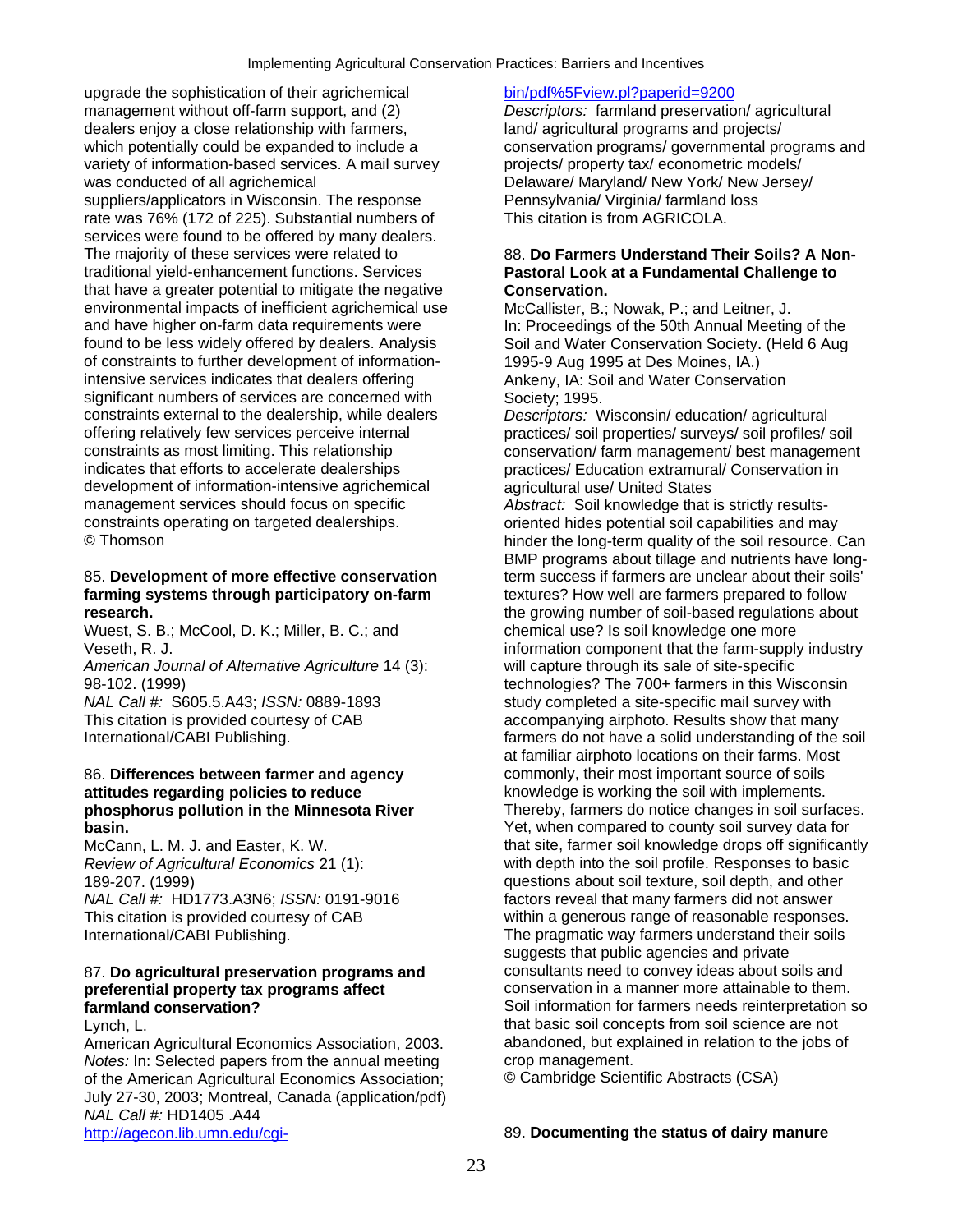upgrade the sophistication of their agrichemical bin/pdf%5Fview.pl?paperid=9200 management without off-farm support, and (2) *Descriptors:* farmland preservation/ agricultural dealers enjoy a close relationship with farmers, land/ agricultural programs and projects/ which potentially could be expanded to include a conservation programs/ governmental programs and variety of information-based services. A mail survey projects/ property tax/ econometric models/ was conducted of all agrichemical **Delaware/ Maryland/ New York/ New Jersey/** New Jersey/ suppliers/applicators in Wisconsin. The response Pennsylvania/ Virginia/ farmland loss rate was 76% (172 of 225). Substantial numbers of This citation is from AGRICOLA. services were found to be offered by many dealers. The majority of these services were related to 88. **Do Farmers Understand Their Soils? A Non**traditional yield-enhancement functions. Services **Pastoral Look at a Fundamental Challenge to**  that have a greater potential to mitigate the negative **Conservation.** environmental impacts of inefficient agrichemical use McCallister, B.; Nowak, P.; and Leitner, J. and have higher on-farm data requirements were In: Proceedings of the 50th Annual Meeting of the found to be less widely offered by dealers. Analysis Soil and Water Conservation Society. (Held 6 Aug of constraints to further development of information- 1995-9 Aug 1995 at Des Moines, IA.) intensive services indicates that dealers offering **Ankeny, IA: Soil and Water Conservation** significant numbers of services are concerned with Society; 1995. constraints external to the dealership, while dealers *Descriptors:* Wisconsin/ education/ agricultural offering relatively few services perceive internal practices/ soil properties/ surveys/ soil profiles/ soil constraints as most limiting. This relationship conservation/ farm management/ best management indicates that efforts to accelerate dealerships practices/ Education extramural/ Conservation in development of information-intensive agrichemical agricultural use/ United States management services should focus on specific *Abstract:* Soil knowledge that is strictly results-<br>
constraints operating on targeted dealerships. The oriented hides potential soil capabilities and may © Thomson hinder the long-term quality of the soil resource. Can

## **farming systems through participatory on-farm** textures? How well are farmers prepared to follow

Wuest, S. B.; McCool, D. K.; Miller, B. C.; and chemical use? Is soil knowledge one more

*American Journal of Alternative Agriculture* 14 (3): will capture through its sale of site-specific

## 86. **Differences between farmer and agency commonly, their most important source of soils attitudes regarding policies to reduce** knowledge is working the soil with implements.

American Agricultural Economics Association, 2003. abandoned, but explanation in relation in relation in relation of Notes: In: Selected papers from the annual meeting crop management. *Notes:* In: Selected papers from the annual meeting crop management. of the American Agricultural Economics Association; July 27-30, 2003; Montreal, Canada (application/pdf) *NAL Call #:* HD1405 .A44 http://agecon.lib.umn.edu/cgi- 89. **Documenting the status of dairy manure** 

oriented hides potential soil capabilities and may BMP programs about tillage and nutrients have long-85. **Development of more effective conservation** term success if farmers are unclear about their soils' **research. the growing number of soil-based regulations about** the growing number of soil-based regulations about Veseth, R. J. information component that the farm-supply industry 98-102. (1999) technologies? The 700+ farmers in this Wisconsin *NAL Call #:* S605.5.A43; *ISSN:* 0889-1893 study completed a site-specific mail survey with This citation is provided courtesy of CAB accompanying airphoto. Results show that many International/CABI Publishing. farmers do not have a solid understanding of the soil at familiar airphoto locations on their farms. Most **phosphorus pollution in the Minnesota River** Thereby, farmers do notice changes in soil surfaces. **basin. basin. basine in the solution of the solution of the Section State of Yet, when compared to county soil survey data for** McCann, L. M. J. and Easter, K. W. that site, farmer soil knowledge drops off significantly *Review of Agricultural Economics* 21 (1): with depth into the soil profile. Responses to basic 189-207. (1999) questions about soil texture, soil depth, and other *NAL Call #:* HD1773.A3N6; *ISSN:* 0191-9016 factors reveal that many farmers did not answer This citation is provided courtesy of CAB within a generous range of reasonable responses. International/CABI Publishing. The pragmatic way farmers understand their soils suggests that public agencies and private 87. **Do agricultural preservation programs and** consultants need to convey ideas about soils and **preferential property tax programs affect conservation in a manner more attainable to them. farmland conservation? Soil information for farmers needs reinterpretation so** Soil information for farmers needs reinterpretation so Lynch, L.<br>American Agricultural Economics Association. 2003. American Agrican Agricultural Economics Association. 2003.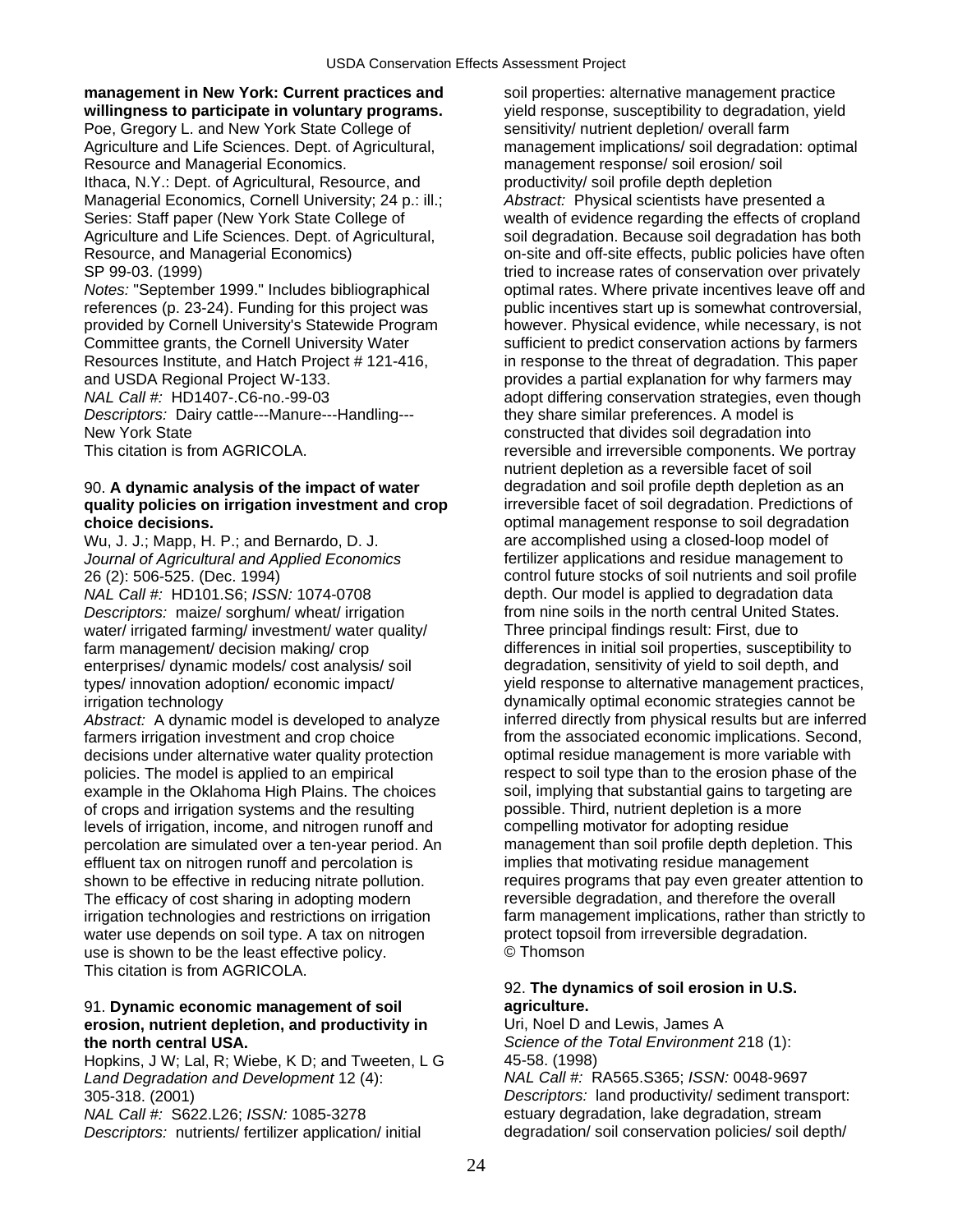**management in New York: Current practices and** soil properties: alternative management practice **willingness to participate in voluntary programs.** yield response, susceptibility to degradation, yield Poe, Gregory L. and New York State College of sensitivity/ nutrient depletion/ overall farm Resource and Managerial Economics. management response/ soil erosion/ soil Ithaca, N.Y.: Dept. of Agricultural, Resource, and productivity/ soil profile depth depletion Managerial Economics, Cornell University; 24 p.: ill.; *Abstract:* Physical scientists have presented a

*Descriptors:* Dairy cattle---Manure---Handling--- they share similar preferences. A model is

## 90. **A dynamic analysis of the impact of water** degradation and soil profile depth depletion as an **quality policies on irrigation investment and crop** irreversible facet of soil degradation. Predictions of **choice decisions.** *choice* decisions. *optimal management response to soil degradation*

*NAL Call #:* HD101.S6; *ISSN:* 1074-0708 depth. Our model is applied to degradation data *Descriptors:* maize/ sorghum/ wheat/ irrigation from nine soils in the north central United States. water/ irrigated farming/ investment/ water quality/ Three principal findings result: First, due to enterprises/ dynamic models/ cost analysis/ soil degradation, sensitivity of yield to soil depth, and

decisions under alternative water quality protection optimal residue management is more variable with policies. The model is applied to an empirical respect to soil type than to the erosion phase of the example in the Oklahoma High Plains. The choices soil, implying that substantial gains to targeting are example in the Oklahoma High Plains. The choices of crops and irrigation systems and the resulting possible. Third, nutrient depletion is a more<br>levels of irrigation, income, and nitrogen runoff and compelling motivator for adopting residue levels of irrigation, income, and nitrogen runoff and percolation are simulated over a ten-year period. An management than soil profile depth depletion. This effluent tax on nitrogen runoff and percolation is implies that motivating residue management The efficacy of cost sharing in adopting modern reversible degradation, and therefore the overall water use depends on soil type. A tax on nitrogen protect topsoil from irreversible degradation.<br>use is shown to be the least effective policy. <br>
© Thomson use is shown to be the least effective policy. This citation is from AGRICOLA.

## 91. **Dynamic economic management of soil agriculture. erosion, nutrient depletion, and productivity in** Uri, Noel D and Lewis, James A

Hopkins, J W; Lal, R; Wiebe, K D; and Tweeten, L G 45-58. (1998)<br>
Land Degradation and Development 12 (4): Call H: RA565. Call #: RA565. S365; ISSN: 0048-9697 *Land Degradation and Development* 12 (4): 305-318. (2001) *Descriptors:* land productivity/ sediment transport: *Descriptors:* nutrients/ fertilizer application/ initial

Agriculture and Life Sciences. Dept. of Agricultural, management implications/ soil degradation: optimal Series: Staff paper (New York State College of wealth of evidence regarding the effects of cropland Agriculture and Life Sciences. Dept. of Agricultural, soil degradation. Because soil degradation has both Resource, and Managerial Economics) on-site and off-site effects, public policies have often SP 99-03. (1999) SP 99-03. (1999) tried to increase rates of conservation over privately *Notes:* "September 1999." Includes bibliographical optimal rates. Where private incentives leave off and references (p. 23-24). Funding for this project was public incentives start up is somewhat controversial, provided by Cornell University's Statewide Program however. Physical evidence, while necessary, is not Committee grants, the Cornell University Water sufficient to predict conservation actions by farmers Resources Institute, and Hatch Project # 121-416, in response to the threat of degradation. This paper and USDA Regional Project W-133. provides a partial explanation for why farmers may *NAL Call #:* HD1407-.C6-no.-99-03 adopt differing conservation strategies, even though New York State constructed that divides soil degradation into This citation is from AGRICOLA. This citation is from AGRICOLA. This citation is from AGRICOLA. nutrient depletion as a reversible facet of soil Wu, J. J.; Mapp, H. P.; and Bernardo, D. J. are accomplished using a closed-loop model of *Journal of Agricultural and Applied Economics* fertilizer applications and residue management to 26 (2): 506-525. (Dec. 1994) control future stocks of soil nutrients and soil profile farm management/ decision making/ crop differences in initial soil properties, susceptibility to types/ innovation adoption/ economic impact/ yield response to alternative management practices, irrigation technology dynamically optimal economic strategies cannot be Abstract: A dynamic model is developed to analyze inferred directly from physical results but are inferred farmers irrigation investment and crop choice from the associated economic implications. Second, shown to be effective in reducing nitrate pollution. The requires programs that pay even greater attention to irrigation technologies and restrictions on irrigation farm management implications, rather than strictly to

## 92. **The dynamics of soil erosion in U.S.**

**the north central USA.** *Science of the Total Environment* 218 (1): *NAL Call #:* S622.L26; *ISSN:* 1085-3278 estuary degradation, lake degradation, stream<br>*Descriptors:* nutrients/ fertilizer application/ initial degradation/ soil conservation policies/ soil depth/